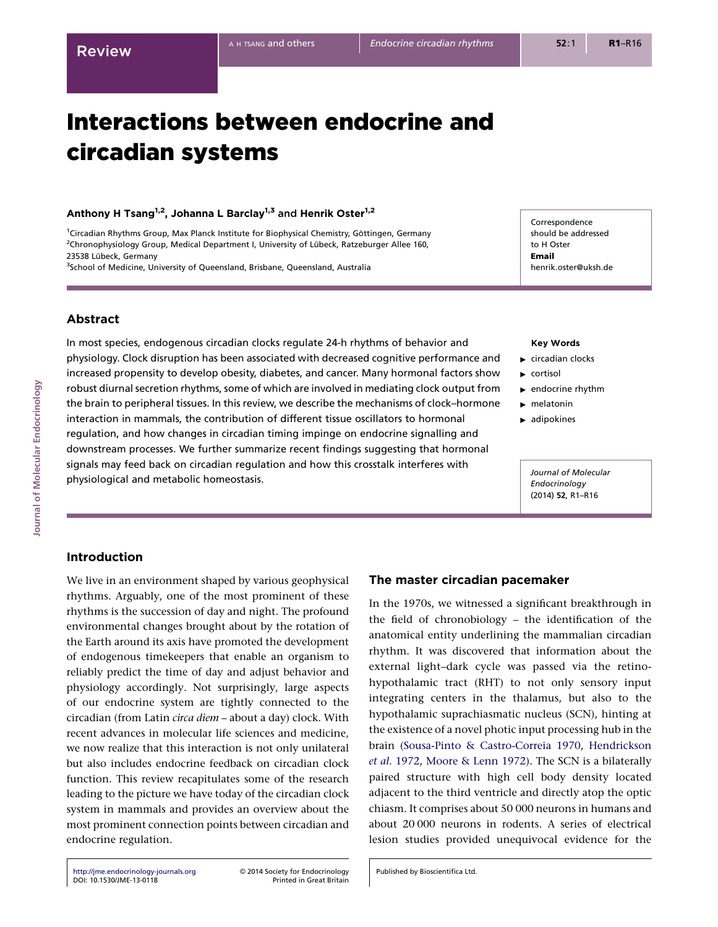# Interactions between endocrine and circadian systems

# Anthony H Tsang<sup>1,2</sup>, Johanna L Barclay<sup>1,3</sup> and Henrik Oster<sup>1,2</sup>

<sup>1</sup>Circadian Rhythms Group, Max Planck Institute for Biophysical Chemistry, Göttingen, Germany <sup>2</sup>Chronophysiology Group, Medical Department I, University of Lübeck, Ratzeburger Allee 160, 23538 Lübeck, Germany

<sup>3</sup>School of Medicine, University of Queensland, Brisbane, Queensland, Australia

# Abstract

In most species, endogenous circadian clocks regulate 24-h rhythms of behavior and physiology. Clock disruption has been associated with decreased cognitive performance and increased propensity to develop obesity, diabetes, and cancer. Many hormonal factors show robust diurnal secretion rhythms, some of which are involved in mediating clock output from the brain to peripheral tissues. In this review, we describe the mechanisms of clock–hormone interaction in mammals, the contribution of different tissue oscillators to hormonal regulation, and how changes in circadian timing impinge on endocrine signalling and downstream processes. We further summarize recent findings suggesting that hormonal signals may feed back on circadian regulation and how this crosstalk interferes with physiological and metabolic homeostasis.

### Key Words

Correspondence should be addressed to H Oster Email

henrik.oster@uksh.de

- $\blacktriangleright$  circadian clocks
- $\blacktriangleright$  cortisol
- $\blacktriangleright$  endocrine rhythm
- $\blacktriangleright$  melatonin
- $\blacktriangleright$  adipokines

Journal of Molecular Endocrinology (2014) 52, R1–R16

# Introduction

We live in an environment shaped by various geophysical rhythms. Arguably, one of the most prominent of these rhythms is the succession of day and night. The profound environmental changes brought about by the rotation of the Earth around its axis have promoted the development of endogenous timekeepers that enable an organism to reliably predict the time of day and adjust behavior and physiology accordingly. Not surprisingly, large aspects of our endocrine system are tightly connected to the circadian (from Latin circa diem – about a day) clock. With recent advances in molecular life sciences and medicine, we now realize that this interaction is not only unilateral but also includes endocrine feedback on circadian clock function. This review recapitulates some of the research leading to the picture we have today of the circadian clock system in mammals and provides an overview about the most prominent connection points between circadian and endocrine regulation.

# The master circadian pacemaker

In the 1970s, we witnessed a significant breakthrough in the field of chronobiology – the identification of the anatomical entity underlining the mammalian circadian rhythm. It was discovered that information about the external light–dark cycle was passed via the retinohypothalamic tract (RHT) to not only sensory input integrating centers in the thalamus, but also to the hypothalamic suprachiasmatic nucleus (SCN), hinting at the existence of a novel photic input processing hub in the brain [\(Sousa-Pinto & Castro-Correia 1970](#page-14-0), [Hendrickson](#page-11-0) et al[. 1972,](#page-11-0) [Moore & Lenn 1972](#page-12-0)). The SCN is a bilaterally paired structure with high cell body density located adjacent to the third ventricle and directly atop the optic chiasm. It comprises about 50 000 neurons in humans and about 20 000 neurons in rodents. A series of electrical lesion studies provided unequivocal evidence for the

[http://jme.endocrinology-journals.org](http://jme.endocrinology-journals.org/) © 2014 Society for Endocrinology<br>DOI: 10.1530/JME-13-0118 Printed in Great Britain [DOI: 10.1530/JME-13-0118](http://dx.doi.org/10.1530/JME-13-0118)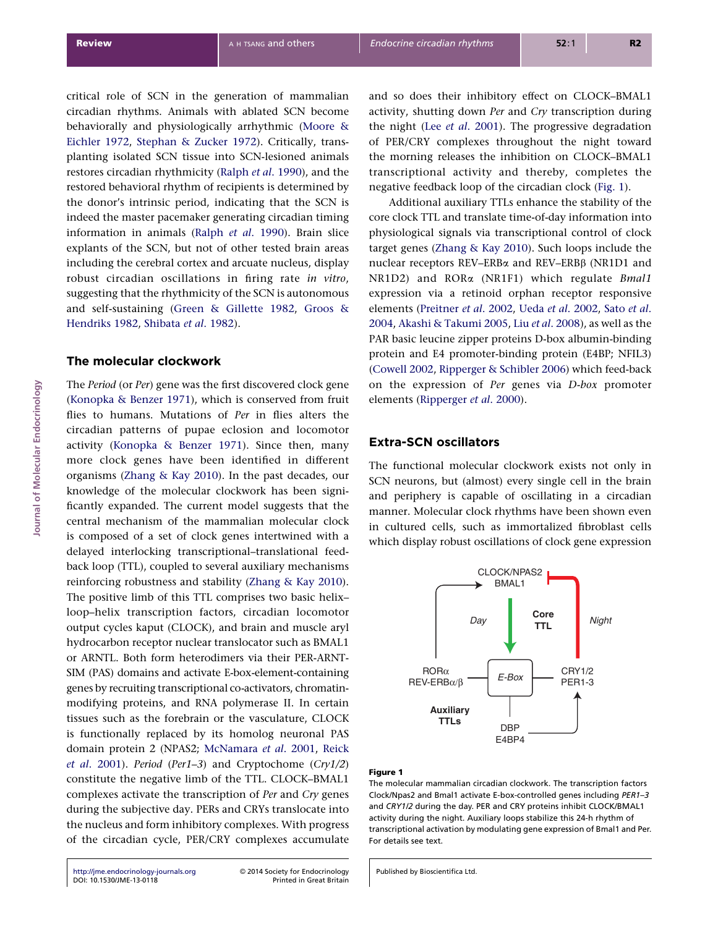critical role of SCN in the generation of mammalian circadian rhythms. Animals with ablated SCN become behaviorally and physiologically arrhythmic [\(Moore &](#page-12-0) [Eichler 1972](#page-12-0), [Stephan & Zucker 1972\)](#page-14-0). Critically, transplanting isolated SCN tissue into SCN-lesioned animals restores circadian rhythmicity (Ralph et al[. 1990](#page-13-0)), and the restored behavioral rhythm of recipients is determined by the donor's intrinsic period, indicating that the SCN is indeed the master pacemaker generating circadian timing information in animals (Ralph et al[. 1990](#page-13-0)). Brain slice explants of the SCN, but not of other tested brain areas including the cerebral cortex and arcuate nucleus, display robust circadian oscillations in firing rate in vitro, suggesting that the rhythmicity of the SCN is autonomous and self-sustaining [\(Green & Gillette 1982](#page-11-0), [Groos &](#page-11-0) [Hendriks 1982,](#page-11-0) [Shibata](#page-14-0) et al. 1982).

# The molecular clockwork

The Period (or Per) gene was the first discovered clock gene ([Konopka & Benzer 1971\)](#page-12-0), which is conserved from fruit flies to humans. Mutations of Per in flies alters the circadian patterns of pupae eclosion and locomotor activity ([Konopka & Benzer 1971\)](#page-12-0). Since then, many more clock genes have been identified in different organisms ([Zhang & Kay 2010\)](#page-15-0). In the past decades, our knowledge of the molecular clockwork has been significantly expanded. The current model suggests that the central mechanism of the mammalian molecular clock is composed of a set of clock genes intertwined with a delayed interlocking transcriptional–translational feedback loop (TTL), coupled to several auxiliary mechanisms reinforcing robustness and stability [\(Zhang & Kay 2010\)](#page-15-0). The positive limb of this TTL comprises two basic helix– loop–helix transcription factors, circadian locomotor output cycles kaput (CLOCK), and brain and muscle aryl hydrocarbon receptor nuclear translocator such as BMAL1 or ARNTL. Both form heterodimers via their PER-ARNT-SIM (PAS) domains and activate E-box-element-containing genes by recruiting transcriptional co-activators, chromatinmodifying proteins, and RNA polymerase II. In certain tissues such as the forebrain or the vasculature, CLOCK is functionally replaced by its homolog neuronal PAS domain protein 2 (NPAS2; [McNamara](#page-12-0) et al. 2001, [Reick](#page-13-0) et al[. 2001\)](#page-13-0). Period (Per1–3) and Cryptochome (Cry1/2) constitute the negative limb of the TTL. CLOCK–BMAL1 complexes activate the transcription of Per and Cry genes during the subjective day. PERs and CRYs translocate into the nucleus and form inhibitory complexes. With progress of the circadian cycle, PER/CRY complexes accumulate

[http://jme.endocrinology-journals.org](http://jme.endocrinology-journals.org/) © 2014 Society for Endocrinology<br>DOI: 10.1530/JME-13-0118 Printed in Great Britain [DOI: 10.1530/JME-13-0118](http://dx.doi.org/10.1530/JME-13-0118)

and so does their inhibitory effect on CLOCK–BMAL1 activity, shutting down Per and Cry transcription during the night (Lee et al[. 2001](#page-12-0)). The progressive degradation of PER/CRY complexes throughout the night toward the morning releases the inhibition on CLOCK–BMAL1 transcriptional activity and thereby, completes the negative feedback loop of the circadian clock (Fig. 1).

Additional auxiliary TTLs enhance the stability of the core clock TTL and translate time-of-day information into physiological signals via transcriptional control of clock target genes [\(Zhang & Kay 2010](#page-15-0)). Such loops include the nuclear receptors REV–ERBa and REV–ERBb (NR1D1 and NR1D2) and RORa (NR1F1) which regulate Bmal1 expression via a retinoid orphan receptor responsive elements [\(Preitner](#page-13-0) et al. 2002, Ueda et al[. 2002,](#page-14-0) [Sato](#page-13-0) et al. [2004](#page-13-0), [Akashi & Takumi 2005](#page-10-0), Liu et al[. 2008\)](#page-12-0), as well as the PAR basic leucine zipper proteins D-box albumin-binding protein and E4 promoter-binding protein (E4BP; NFIL3) ([Cowell 2002,](#page-11-0) [Ripperger & Schibler 2006](#page-13-0)) which feed-back on the expression of Per genes via D-box promoter elements [\(Ripperger](#page-13-0) et al. 2000).

# Extra-SCN oscillators

The functional molecular clockwork exists not only in SCN neurons, but (almost) every single cell in the brain and periphery is capable of oscillating in a circadian manner. Molecular clock rhythms have been shown even in cultured cells, such as immortalized fibroblast cells which display robust oscillations of clock gene expression



# Figure 1

The molecular mammalian circadian clockwork. The transcription factors Clock/Npas2 and Bmal1 activate E-box-controlled genes including PER1–3 and CRY1/2 during the day. PER and CRY proteins inhibit CLOCK/BMAL1 activity during the night. Auxiliary loops stabilize this 24-h rhythm of transcriptional activation by modulating gene expression of Bmal1 and Per. For details see text.

Published by Bioscientifica Ltd.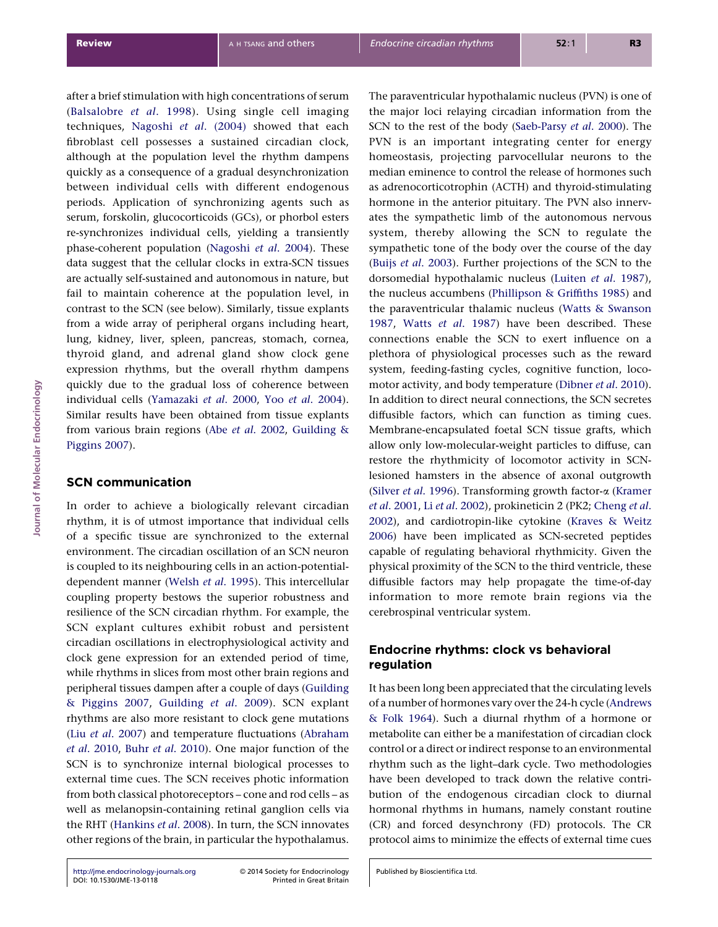after a brief stimulation with high concentrations of serum ([Balsalobre](#page-10-0) et al. 1998). Using single cell imaging techniques, Nagoshi et al[. \(2004\)](#page-12-0) showed that each fibroblast cell possesses a sustained circadian clock, although at the population level the rhythm dampens quickly as a consequence of a gradual desynchronization between individual cells with different endogenous periods. Application of synchronizing agents such as serum, forskolin, glucocorticoids (GCs), or phorbol esters re-synchronizes individual cells, yielding a transiently phase-coherent population [\(Nagoshi](#page-12-0) et al. 2004). These data suggest that the cellular clocks in extra-SCN tissues are actually self-sustained and autonomous in nature, but fail to maintain coherence at the population level, in contrast to the SCN (see below). Similarly, tissue explants from a wide array of peripheral organs including heart, lung, kidney, liver, spleen, pancreas, stomach, cornea, thyroid gland, and adrenal gland show clock gene expression rhythms, but the overall rhythm dampens quickly due to the gradual loss of coherence between individual cells [\(Yamazaki](#page-15-0) et al. 2000, Yoo et al[. 2004\)](#page-15-0). Similar results have been obtained from tissue explants from various brain regions (Abe et al[. 2002,](#page-10-0) [Guilding &](#page-11-0) [Piggins 2007\)](#page-11-0).

# SCN communication

In order to achieve a biologically relevant circadian rhythm, it is of utmost importance that individual cells of a specific tissue are synchronized to the external environment. The circadian oscillation of an SCN neuron is coupled to its neighbouring cells in an action-potentialdependent manner (Welsh et al[. 1995\)](#page-14-0). This intercellular coupling property bestows the superior robustness and resilience of the SCN circadian rhythm. For example, the SCN explant cultures exhibit robust and persistent circadian oscillations in electrophysiological activity and clock gene expression for an extended period of time, while rhythms in slices from most other brain regions and peripheral tissues dampen after a couple of days [\(Guilding](#page-11-0) [& Piggins 2007](#page-11-0), [Guilding](#page-11-0) et al. 2009). SCN explant rhythms are also more resistant to clock gene mutations (Liu et al[. 2007\)](#page-12-0) and temperature fluctuations [\(Abraham](#page-10-0) et al[. 2010,](#page-10-0) Buhr et al[. 2010\)](#page-10-0). One major function of the SCN is to synchronize internal biological processes to external time cues. The SCN receives photic information from both classical photoreceptors – cone and rod cells – as well as melanopsin-containing retinal ganglion cells via the RHT ([Hankins](#page-11-0) et al. 2008). In turn, the SCN innovates other regions of the brain, in particular the hypothalamus.

the major loci relaying circadian information from the SCN to the rest of the body ([Saeb-Parsy](#page-13-0) et al. 2000). The PVN is an important integrating center for energy homeostasis, projecting parvocellular neurons to the median eminence to control the release of hormones such as adrenocorticotrophin (ACTH) and thyroid-stimulating hormone in the anterior pituitary. The PVN also innervates the sympathetic limb of the autonomous nervous system, thereby allowing the SCN to regulate the sympathetic tone of the body over the course of the day (Buijs et al[. 2003\)](#page-10-0). Further projections of the SCN to the dorsomedial hypothalamic nucleus (Luiten et al[. 1987\)](#page-12-0), the nucleus accumbens ([Phillipson & Griffiths 1985](#page-13-0)) and the paraventricular thalamic nucleus ([Watts & Swanson](#page-14-0) [1987](#page-14-0), Watts et al[. 1987\)](#page-14-0) have been described. These connections enable the SCN to exert influence on a plethora of physiological processes such as the reward system, feeding-fasting cycles, cognitive function, locomotor activity, and body temperature ([Dibner](#page-11-0) et al. 2010). In addition to direct neural connections, the SCN secretes diffusible factors, which can function as timing cues. Membrane-encapsulated foetal SCN tissue grafts, which allow only low-molecular-weight particles to diffuse, can restore the rhythmicity of locomotor activity in SCNlesioned hamsters in the absence of axonal outgrowth (Silver et al[. 1996](#page-14-0)). Transforming growth factor-a [\(Kramer](#page-12-0) et al[. 2001](#page-12-0), Li et al[. 2002](#page-12-0)), prokineticin 2 (PK2; [Cheng](#page-10-0) et al. [2002](#page-10-0)), and cardiotropin-like cytokine ([Kraves & Weitz](#page-12-0) [2006](#page-12-0)) have been implicated as SCN-secreted peptides capable of regulating behavioral rhythmicity. Given the physical proximity of the SCN to the third ventricle, these diffusible factors may help propagate the time-of-day information to more remote brain regions via the cerebrospinal ventricular system.

The paraventricular hypothalamic nucleus (PVN) is one of

# Endocrine rhythms: clock vs behavioral regulation

It has been long been appreciated that the circulating levels of a number of hormones vary over the 24-h cycle ([Andrews](#page-10-0) [& Folk 1964\)](#page-10-0). Such a diurnal rhythm of a hormone or metabolite can either be a manifestation of circadian clock control or a direct or indirect response to an environmental rhythm such as the light–dark cycle. Two methodologies have been developed to track down the relative contribution of the endogenous circadian clock to diurnal hormonal rhythms in humans, namely constant routine (CR) and forced desynchrony (FD) protocols. The CR protocol aims to minimize the effects of external time cues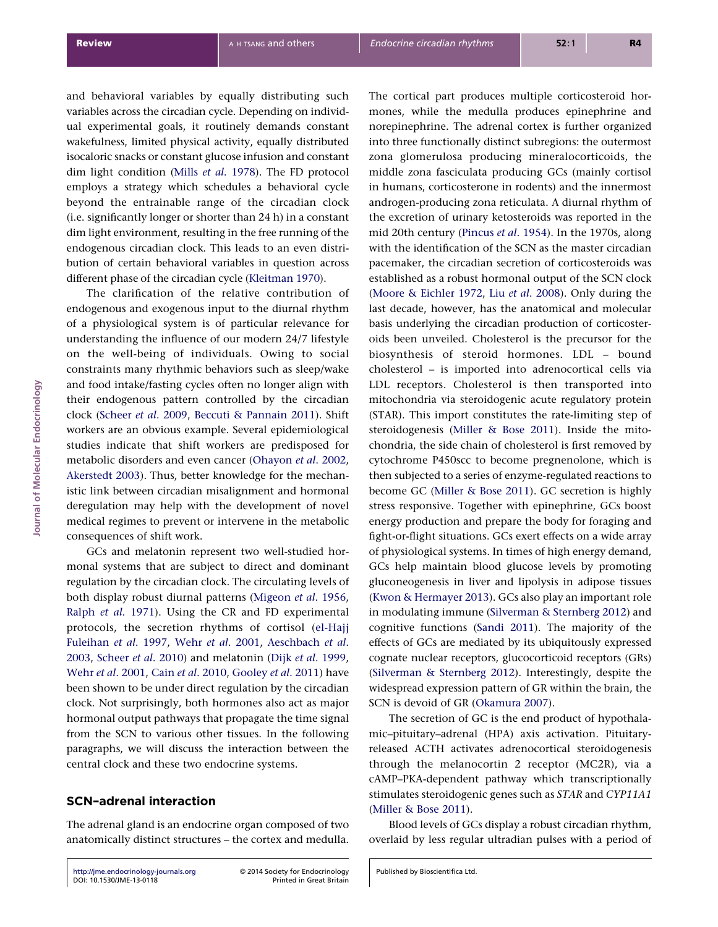and behavioral variables by equally distributing such variables across the circadian cycle. Depending on individual experimental goals, it routinely demands constant wakefulness, limited physical activity, equally distributed isocaloric snacks or constant glucose infusion and constant dim light condition (Mills et al[. 1978\)](#page-12-0). The FD protocol employs a strategy which schedules a behavioral cycle beyond the entrainable range of the circadian clock (i.e. significantly longer or shorter than 24 h) in a constant dim light environment, resulting in the free running of the endogenous circadian clock. This leads to an even distribution of certain behavioral variables in question across different phase of the circadian cycle [\(Kleitman 1970\)](#page-12-0).

The clarification of the relative contribution of endogenous and exogenous input to the diurnal rhythm of a physiological system is of particular relevance for understanding the influence of our modern 24/7 lifestyle on the well-being of individuals. Owing to social constraints many rhythmic behaviors such as sleep/wake and food intake/fasting cycles often no longer align with their endogenous pattern controlled by the circadian clock [\(Scheer](#page-13-0) et al. 2009, [Beccuti & Pannain 2011\)](#page-10-0). Shift workers are an obvious example. Several epidemiological studies indicate that shift workers are predisposed for metabolic disorders and even cancer [\(Ohayon](#page-13-0) et al. 2002, [Akerstedt 2003](#page-10-0)). Thus, better knowledge for the mechanistic link between circadian misalignment and hormonal deregulation may help with the development of novel medical regimes to prevent or intervene in the metabolic consequences of shift work.

GCs and melatonin represent two well-studied hormonal systems that are subject to direct and dominant regulation by the circadian clock. The circulating levels of both display robust diurnal patterns [\(Migeon](#page-12-0) et al. 1956, Ralph et al[. 1971\)](#page-13-0). Using the CR and FD experimental protocols, the secretion rhythms of cortisol ([el-Hajj](#page-11-0) [Fuleihan](#page-11-0) et al. 1997, Wehr et al[. 2001,](#page-14-0) [Aeschbach](#page-10-0) et al. [2003](#page-10-0), [Scheer](#page-13-0) et al. 2010) and melatonin (Dijk et al[. 1999](#page-11-0), Wehr et al[. 2001](#page-14-0), Cain et al[. 2010](#page-10-0), [Gooley](#page-11-0) et al. 2011) have been shown to be under direct regulation by the circadian clock. Not surprisingly, both hormones also act as major hormonal output pathways that propagate the time signal from the SCN to various other tissues. In the following paragraphs, we will discuss the interaction between the central clock and these two endocrine systems.

# SCN–adrenal interaction

The adrenal gland is an endocrine organ composed of two anatomically distinct structures – the cortex and medulla.

[http://jme.endocrinology-journals.org](http://jme.endocrinology-journals.org/) © 2014 Society for Endocrinology<br>DOI: 10.1530/JME-13-0118 Printed in Great Britain [DOI: 10.1530/JME-13-0118](http://dx.doi.org/10.1530/JME-13-0118)

Published by Bioscientifica Ltd.

The cortical part produces multiple corticosteroid hormones, while the medulla produces epinephrine and norepinephrine. The adrenal cortex is further organized into three functionally distinct subregions: the outermost zona glomerulosa producing mineralocorticoids, the middle zona fasciculata producing GCs (mainly cortisol in humans, corticosterone in rodents) and the innermost androgen-producing zona reticulata. A diurnal rhythm of the excretion of urinary ketosteroids was reported in the mid 20th century ([Pincus](#page-13-0) et al. 1954). In the 1970s, along with the identification of the SCN as the master circadian pacemaker, the circadian secretion of corticosteroids was established as a robust hormonal output of the SCN clock ([Moore & Eichler 1972](#page-12-0), Liu et al[. 2008\)](#page-12-0). Only during the last decade, however, has the anatomical and molecular basis underlying the circadian production of corticosteroids been unveiled. Cholesterol is the precursor for the biosynthesis of steroid hormones. LDL – bound cholesterol – is imported into adrenocortical cells via LDL receptors. Cholesterol is then transported into mitochondria via steroidogenic acute regulatory protein (STAR). This import constitutes the rate-limiting step of steroidogenesis [\(Miller & Bose 2011\)](#page-12-0). Inside the mitochondria, the side chain of cholesterol is first removed by cytochrome P450scc to become pregnenolone, which is then subjected to a series of enzyme-regulated reactions to become GC [\(Miller & Bose 2011\)](#page-12-0). GC secretion is highly stress responsive. Together with epinephrine, GCs boost energy production and prepare the body for foraging and fight-or-flight situations. GCs exert effects on a wide array of physiological systems. In times of high energy demand, GCs help maintain blood glucose levels by promoting gluconeogenesis in liver and lipolysis in adipose tissues ([Kwon & Hermayer 2013](#page-12-0)). GCs also play an important role in modulating immune ([Silverman & Sternberg 2012](#page-14-0)) and cognitive functions ([Sandi 2011\)](#page-13-0). The majority of the effects of GCs are mediated by its ubiquitously expressed cognate nuclear receptors, glucocorticoid receptors (GRs) ([Silverman & Sternberg 2012\)](#page-14-0). Interestingly, despite the widespread expression pattern of GR within the brain, the SCN is devoid of GR ([Okamura 2007\)](#page-13-0).

The secretion of GC is the end product of hypothalamic–pituitary–adrenal (HPA) axis activation. Pituitaryreleased ACTH activates adrenocortical steroidogenesis through the melanocortin 2 receptor (MC2R), via a cAMP–PKA-dependent pathway which transcriptionally stimulates steroidogenic genes such as STAR and CYP11A1 ([Miller & Bose 2011\)](#page-12-0).

Blood levels of GCs display a robust circadian rhythm, overlaid by less regular ultradian pulses with a period of

Journal of Molecular Endocrinology

lournal of Molecular Endocrinology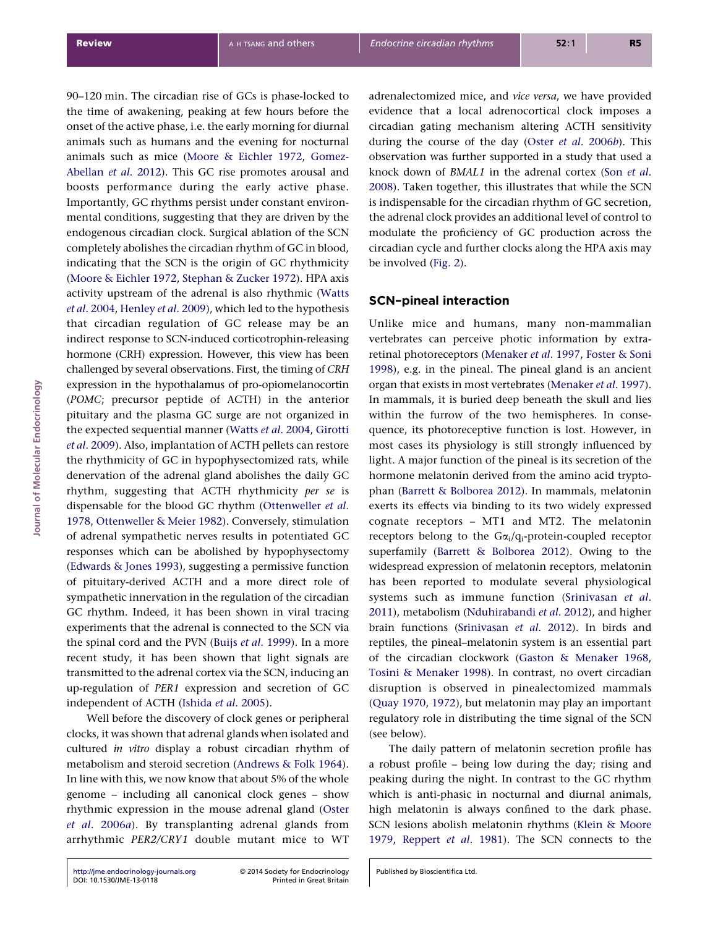90–120 min. The circadian rise of GCs is phase-locked to the time of awakening, peaking at few hours before the onset of the active phase, i.e. the early morning for diurnal animals such as humans and the evening for nocturnal animals such as mice [\(Moore & Eichler 1972,](#page-12-0) [Gomez-](#page-11-0)[Abellan](#page-11-0) et al. 2012). This GC rise promotes arousal and boosts performance during the early active phase. Importantly, GC rhythms persist under constant environmental conditions, suggesting that they are driven by the endogenous circadian clock. Surgical ablation of the SCN completely abolishes the circadian rhythm of GC in blood, indicating that the SCN is the origin of GC rhythmicity ([Moore & Eichler 1972,](#page-12-0) [Stephan & Zucker 1972\)](#page-14-0). HPA axis activity upstream of the adrenal is also rhythmic [\(Watts](#page-14-0) et al[. 2004](#page-14-0), [Henley](#page-11-0) et al. 2009), which led to the hypothesis that circadian regulation of GC release may be an indirect response to SCN-induced corticotrophin-releasing hormone (CRH) expression. However, this view has been challenged by several observations. First, the timing of CRH expression in the hypothalamus of pro-opiomelanocortin (POMC; precursor peptide of ACTH) in the anterior pituitary and the plasma GC surge are not organized in the expected sequential manner (Watts et al[. 2004,](#page-14-0) [Girotti](#page-11-0) et al[. 2009](#page-11-0)). Also, implantation of ACTH pellets can restore the rhythmicity of GC in hypophysectomized rats, while denervation of the adrenal gland abolishes the daily GC rhythm, suggesting that ACTH rhythmicity per se is dispensable for the blood GC rhythm [\(Ottenweller](#page-13-0) et al. [1978](#page-13-0), [Ottenweller & Meier 1982\)](#page-13-0). Conversely, stimulation of adrenal sympathetic nerves results in potentiated GC responses which can be abolished by hypophysectomy ([Edwards & Jones 1993\)](#page-11-0), suggesting a permissive function of pituitary-derived ACTH and a more direct role of sympathetic innervation in the regulation of the circadian GC rhythm. Indeed, it has been shown in viral tracing experiments that the adrenal is connected to the SCN via the spinal cord and the PVN (Buijs et al[. 1999](#page-10-0)). In a more recent study, it has been shown that light signals are transmitted to the adrenal cortex via the SCN, inducing an up-regulation of PER1 expression and secretion of GC independent of ACTH [\(Ishida](#page-12-0) et al. 2005).

Well before the discovery of clock genes or peripheral clocks, it was shown that adrenal glands when isolated and cultured in vitro display a robust circadian rhythm of metabolism and steroid secretion [\(Andrews & Folk 1964\)](#page-10-0). In line with this, we now know that about 5% of the whole genome – including all canonical clock genes – show rhythmic expression in the mouse adrenal gland [\(Oster](#page-13-0) et al[. 2006](#page-13-0)a). By transplanting adrenal glands from arrhythmic PER2/CRY1 double mutant mice to WT adrenalectomized mice, and vice versa, we have provided evidence that a local adrenocortical clock imposes a circadian gating mechanism altering ACTH sensitivity during the course of the day (Oster et al[. 2006](#page-13-0)b). This observation was further supported in a study that used a knock down of BMAL1 in the adrenal cortex (Son [et al](#page-14-0). [2008](#page-14-0)). Taken together, this illustrates that while the SCN is indispensable for the circadian rhythm of GC secretion, the adrenal clock provides an additional level of control to modulate the proficiency of GC production across the circadian cycle and further clocks along the HPA axis may be involved ([Fig. 2](#page-5-0)).

# SCN–pineal interaction

Unlike mice and humans, many non-mammalian vertebrates can perceive photic information by extraretinal photoreceptors [\(Menaker](#page-12-0) et al. 1997, [Foster & Soni](#page-11-0) [1998](#page-11-0)), e.g. in the pineal. The pineal gland is an ancient organ that exists in most vertebrates ([Menaker](#page-12-0) et al. 1997). In mammals, it is buried deep beneath the skull and lies within the furrow of the two hemispheres. In consequence, its photoreceptive function is lost. However, in most cases its physiology is still strongly influenced by light. A major function of the pineal is its secretion of the hormone melatonin derived from the amino acid tryptophan ([Barrett & Bolborea 2012](#page-10-0)). In mammals, melatonin exerts its effects via binding to its two widely expressed cognate receptors – MT1 and MT2. The melatonin receptors belong to the  $Ga<sub>i</sub>/q<sub>i</sub>$ -protein-coupled receptor superfamily ([Barrett & Bolborea 2012](#page-10-0)). Owing to the widespread expression of melatonin receptors, melatonin has been reported to modulate several physiological systems such as immune function [\(Srinivasan](#page-14-0) et al. [2011](#page-14-0)), metabolism [\(Nduhirabandi](#page-13-0) et al. 2012), and higher brain functions ([Srinivasan](#page-14-0) et al. 2012). In birds and reptiles, the pineal–melatonin system is an essential part of the circadian clockwork ([Gaston & Menaker 1968,](#page-11-0) [Tosini & Menaker 1998](#page-14-0)). In contrast, no overt circadian disruption is observed in pinealectomized mammals ([Quay 1970](#page-13-0), [1972\)](#page-13-0), but melatonin may play an important regulatory role in distributing the time signal of the SCN (see below).

The daily pattern of melatonin secretion profile has a robust profile – being low during the day; rising and peaking during the night. In contrast to the GC rhythm which is anti-phasic in nocturnal and diurnal animals, high melatonin is always confined to the dark phase. SCN lesions abolish melatonin rhythms [\(Klein & Moore](#page-12-0) [1979](#page-12-0), [Reppert](#page-13-0) et al. 1981). The SCN connects to the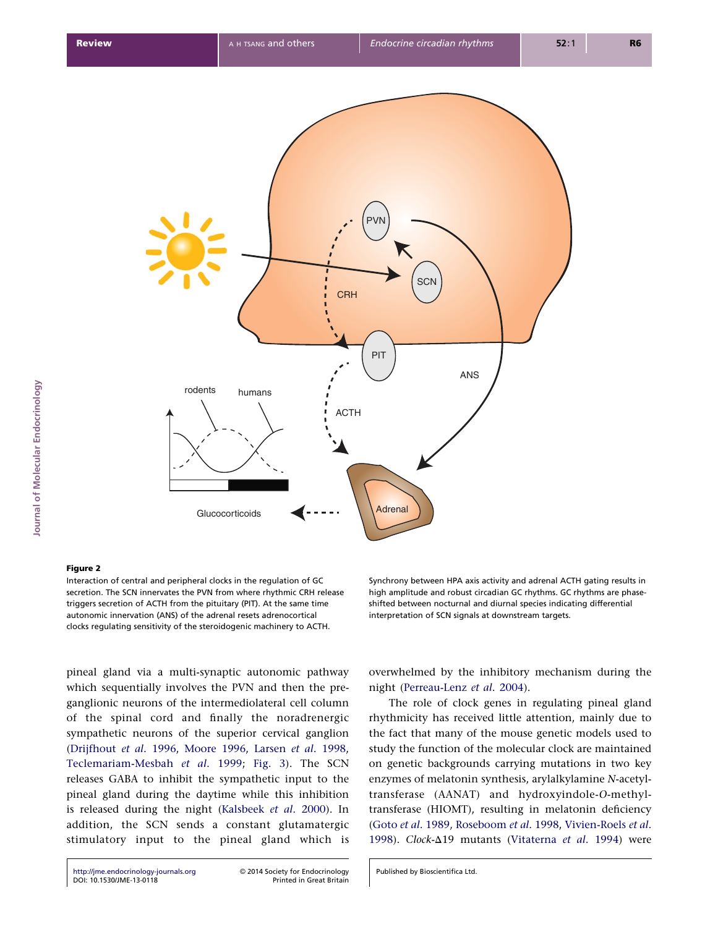<span id="page-5-0"></span>

# Figure 2

Interaction of central and peripheral clocks in the regulation of GC secretion. The SCN innervates the PVN from where rhythmic CRH release triggers secretion of ACTH from the pituitary (PIT). At the same time autonomic innervation (ANS) of the adrenal resets adrenocortical clocks regulating sensitivity of the steroidogenic machinery to ACTH.

pineal gland via a multi-synaptic autonomic pathway which sequentially involves the PVN and then the preganglionic neurons of the intermediolateral cell column of the spinal cord and finally the noradrenergic sympathetic neurons of the superior cervical ganglion ([Drijfhout](#page-11-0) et al. 1996, [Moore 1996,](#page-12-0) Larsen et al[. 1998](#page-12-0), [Teclemariam-Mesbah](#page-14-0) et al. 1999; [Fig. 3](#page-6-0)). The SCN releases GABA to inhibit the sympathetic input to the pineal gland during the daytime while this inhibition is released during the night [\(Kalsbeek](#page-12-0) et al. 2000). In addition, the SCN sends a constant glutamatergic stimulatory input to the pineal gland which is Synchrony between HPA axis activity and adrenal ACTH gating results in high amplitude and robust circadian GC rhythms. GC rhythms are phaseshifted between nocturnal and diurnal species indicating differential interpretation of SCN signals at downstream targets.

overwhelmed by the inhibitory mechanism during the night [\(Perreau-Lenz](#page-13-0) et al. 2004).

The role of clock genes in regulating pineal gland rhythmicity has received little attention, mainly due to the fact that many of the mouse genetic models used to study the function of the molecular clock are maintained on genetic backgrounds carrying mutations in two key enzymes of melatonin synthesis, arylalkylamine N-acetyltransferase (AANAT) and hydroxyindole-O-methyltransferase (HIOMT), resulting in melatonin deficiency (Goto et al[. 1989,](#page-11-0) [Roseboom](#page-13-0) et al. 1998, [Vivien-Roels](#page-14-0) et al. [1998](#page-14-0)). Clock- $\Delta$ 19 mutants ([Vitaterna](#page-14-0) et al. 1994) were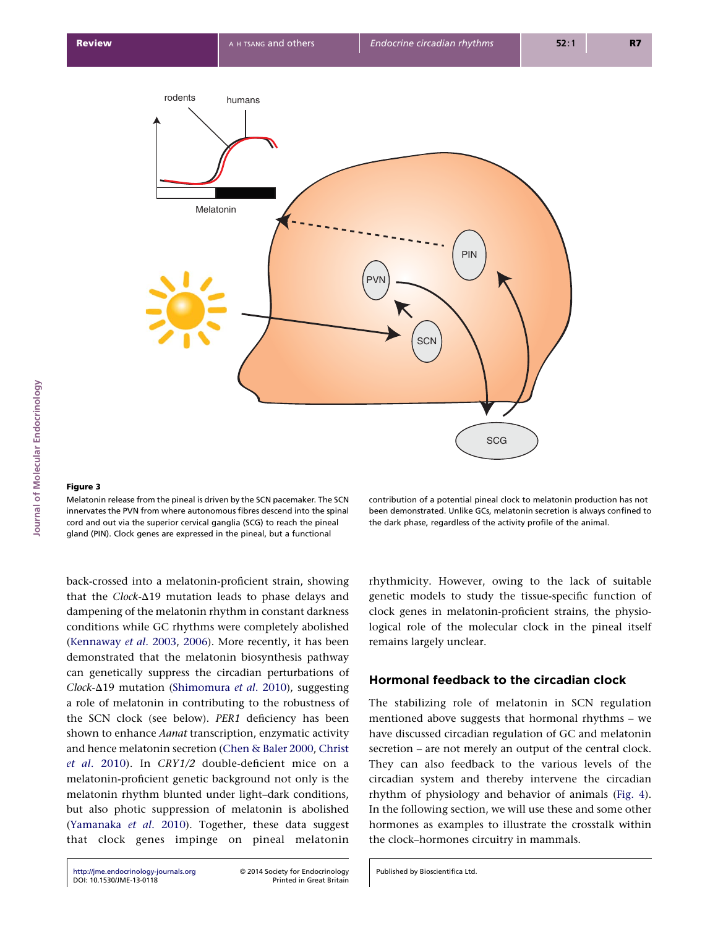<span id="page-6-0"></span>

### Figure 3

Melatonin release from the pineal is driven by the SCN pacemaker. The SCN innervates the PVN from where autonomous fibres descend into the spinal cord and out via the superior cervical ganglia (SCG) to reach the pineal gland (PIN). Clock genes are expressed in the pineal, but a functional

back-crossed into a melatonin-proficient strain, showing that the  $Clock-\Delta19$  mutation leads to phase delays and dampening of the melatonin rhythm in constant darkness conditions while GC rhythms were completely abolished ([Kennaway](#page-12-0) et al. 2003, [2006\)](#page-12-0). More recently, it has been demonstrated that the melatonin biosynthesis pathway can genetically suppress the circadian perturbations of  $Clock-\Delta19$  mutation [\(Shimomura](#page-14-0) *et al.* 2010), suggesting a role of melatonin in contributing to the robustness of the SCN clock (see below). PER1 deficiency has been shown to enhance Aanat transcription, enzymatic activity and hence melatonin secretion ([Chen & Baler 2000](#page-10-0), [Christ](#page-10-0) et al[. 2010](#page-10-0)). In CRY1/2 double-deficient mice on a melatonin-proficient genetic background not only is the melatonin rhythm blunted under light–dark conditions, but also photic suppression of melatonin is abolished ([Yamanaka](#page-15-0) et al. 2010). Together, these data suggest that clock genes impinge on pineal melatonin

contribution of a potential pineal clock to melatonin production has not been demonstrated. Unlike GCs, melatonin secretion is always confined to the dark phase, regardless of the activity profile of the animal.

rhythmicity. However, owing to the lack of suitable genetic models to study the tissue-specific function of clock genes in melatonin-proficient strains, the physiological role of the molecular clock in the pineal itself remains largely unclear.

# Hormonal feedback to the circadian clock

The stabilizing role of melatonin in SCN regulation mentioned above suggests that hormonal rhythms – we have discussed circadian regulation of GC and melatonin secretion – are not merely an output of the central clock. They can also feedback to the various levels of the circadian system and thereby intervene the circadian rhythm of physiology and behavior of animals ([Fig. 4\)](#page-7-0). In the following section, we will use these and some other hormones as examples to illustrate the crosstalk within the clock–hormones circuitry in mammals.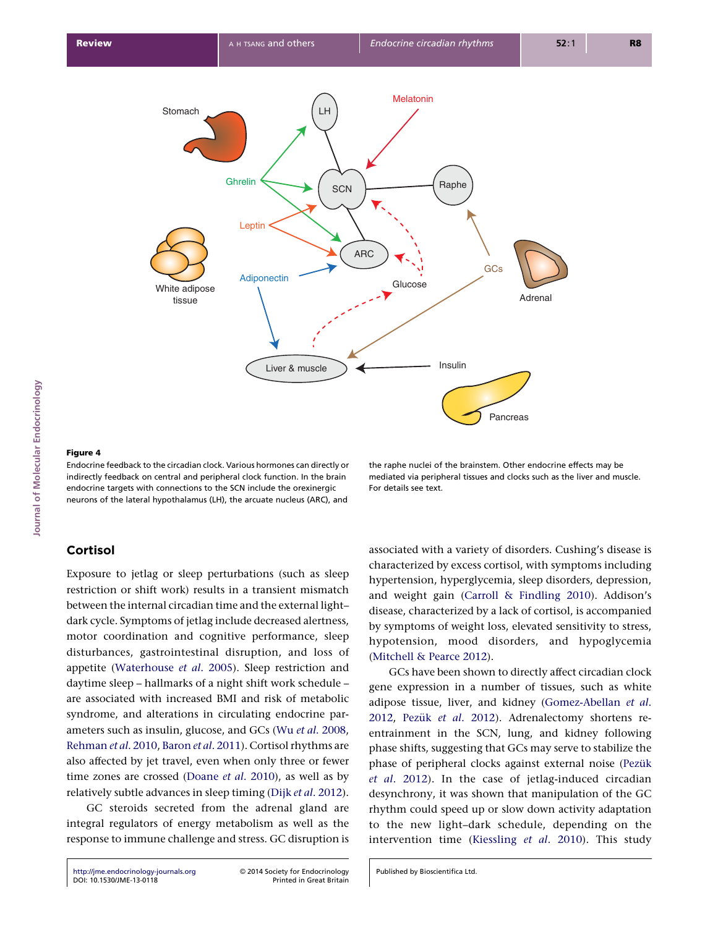<span id="page-7-0"></span>

# Journal of Molecular Endocrinology lournal of Molecular Endocrinology

# Figure 4

Endocrine feedback to the circadian clock. Various hormones can directly or indirectly feedback on central and peripheral clock function. In the brain endocrine targets with connections to the SCN include the orexinergic neurons of the lateral hypothalamus (LH), the arcuate nucleus (ARC), and

## the raphe nuclei of the brainstem. Other endocrine effects may be mediated via peripheral tissues and clocks such as the liver and muscle. For details see text.

# Cortisol

Exposure to jetlag or sleep perturbations (such as sleep restriction or shift work) results in a transient mismatch between the internal circadian time and the external light– dark cycle. Symptoms of jetlag include decreased alertness, motor coordination and cognitive performance, sleep disturbances, gastrointestinal disruption, and loss of appetite [\(Waterhouse](#page-14-0) et al. 2005). Sleep restriction and daytime sleep – hallmarks of a night shift work schedule – are associated with increased BMI and risk of metabolic syndrome, and alterations in circulating endocrine parameters such as insulin, glucose, and GCs (Wu et al[. 2008](#page-14-0), [Rehman](#page-13-0) et al. 2010, [Baron](#page-10-0) et al. 2011). Cortisol rhythms are also affected by jet travel, even when only three or fewer time zones are crossed [\(Doane](#page-11-0) et al. 2010), as well as by relatively subtle advances in sleep timing (Dijk et al[. 2012\)](#page-11-0).

GC steroids secreted from the adrenal gland are integral regulators of energy metabolism as well as the response to immune challenge and stress. GC disruption is

associated with a variety of disorders. Cushing's disease is characterized by excess cortisol, with symptoms including hypertension, hyperglycemia, sleep disorders, depression, and weight gain [\(Carroll & Findling 2010\)](#page-10-0). Addison's disease, characterized by a lack of cortisol, is accompanied by symptoms of weight loss, elevated sensitivity to stress, hypotension, mood disorders, and hypoglycemia ([Mitchell & Pearce 2012](#page-12-0)).

GCs have been shown to directly affect circadian clock gene expression in a number of tissues, such as white adipose tissue, liver, and kidney ([Gomez-Abellan](#page-11-0) et al. [2012](#page-11-0), Pezük et al[. 2012](#page-13-0)). Adrenalectomy shortens reentrainment in the SCN, lung, and kidney following phase shifts, suggesting that GCs may serve to stabilize the phase of peripheral clocks against external noise (Pezük et al[. 2012\)](#page-13-0). In the case of jetlag-induced circadian desynchrony, it was shown that manipulation of the GC rhythm could speed up or slow down activity adaptation to the new light–dark schedule, depending on the intervention time ([Kiessling](#page-12-0) et al. 2010). This study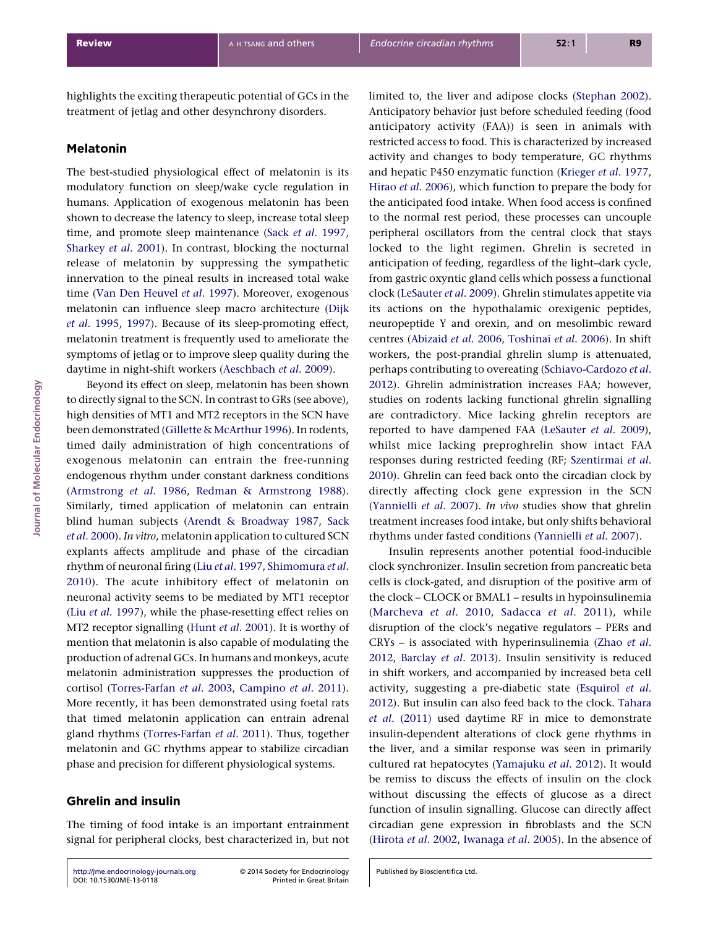highlights the exciting therapeutic potential of GCs in the treatment of jetlag and other desynchrony disorders.

# Melatonin

The best-studied physiological effect of melatonin is its modulatory function on sleep/wake cycle regulation in humans. Application of exogenous melatonin has been shown to decrease the latency to sleep, increase total sleep time, and promote sleep maintenance (Sack et al[. 1997](#page-13-0), [Sharkey](#page-14-0) et al. 2001). In contrast, blocking the nocturnal release of melatonin by suppressing the sympathetic innervation to the pineal results in increased total wake time [\(Van Den Heuvel](#page-14-0) et al. 1997). Moreover, exogenous melatonin can influence sleep macro architecture [\(Dijk](#page-11-0) et al[. 1995,](#page-11-0) [1997\)](#page-11-0). Because of its sleep-promoting effect, melatonin treatment is frequently used to ameliorate the symptoms of jetlag or to improve sleep quality during the daytime in night-shift workers [\(Aeschbach](#page-10-0) et al. 2009).

Beyond its effect on sleep, melatonin has been shown to directly signal to the SCN. In contrast to GRs (see above), high densities of MT1 and MT2 receptors in the SCN have been demonstrated ([Gillette & McArthur 1996](#page-11-0)). In rodents, timed daily administration of high concentrations of exogenous melatonin can entrain the free-running endogenous rhythm under constant darkness conditions ([Armstrong](#page-10-0) et al. 1986, [Redman & Armstrong 1988\)](#page-13-0). Similarly, timed application of melatonin can entrain blind human subjects ([Arendt & Broadway 1987,](#page-10-0) [Sack](#page-13-0) et al[. 2000\)](#page-13-0). In vitro, melatonin application to cultured SCN explants affects amplitude and phase of the circadian rhythm of neuronal firing (Liu et al[. 1997,](#page-12-0) [Shimomura](#page-14-0) et al. [2010](#page-14-0)). The acute inhibitory effect of melatonin on neuronal activity seems to be mediated by MT1 receptor (Liu et al[. 1997](#page-12-0)), while the phase-resetting effect relies on MT2 receptor signalling (Hunt et al[. 2001\)](#page-11-0). It is worthy of mention that melatonin is also capable of modulating the production of adrenal GCs. In humans and monkeys, acute melatonin administration suppresses the production of cortisol ([Torres-Farfan](#page-14-0) et al. 2003, [Campino](#page-10-0) et al. 2011). More recently, it has been demonstrated using foetal rats that timed melatonin application can entrain adrenal gland rhythms [\(Torres-Farfan](#page-14-0) et al. 2011). Thus, together melatonin and GC rhythms appear to stabilize circadian phase and precision for different physiological systems.

# Ghrelin and insulin

The timing of food intake is an important entrainment signal for peripheral clocks, best characterized in, but not

[http://jme.endocrinology-journals.org](http://jme.endocrinology-journals.org/) © 2014 Society for Endocrinology<br>DOI: 10.1530/JME-13-0118 Printed in Great Britain [DOI: 10.1530/JME-13-0118](http://dx.doi.org/10.1530/JME-13-0118)

Anticipatory behavior just before scheduled feeding (food anticipatory activity (FAA)) is seen in animals with restricted access to food. This is characterized by increased activity and changes to body temperature, GC rhythms and hepatic P450 enzymatic function ([Krieger](#page-12-0) et al. 1977, Hirao et al[. 2006](#page-11-0)), which function to prepare the body for the anticipated food intake. When food access is confined to the normal rest period, these processes can uncouple peripheral oscillators from the central clock that stays locked to the light regimen. Ghrelin is secreted in anticipation of feeding, regardless of the light–dark cycle, from gastric oxyntic gland cells which possess a functional clock ([LeSauter](#page-12-0) et al. 2009). Ghrelin stimulates appetite via its actions on the hypothalamic orexigenic peptides, neuropeptide Y and orexin, and on mesolimbic reward centres [\(Abizaid](#page-10-0) et al. 2006, [Toshinai](#page-14-0) et al. 2006). In shift workers, the post-prandial ghrelin slump is attenuated, perhaps contributing to overeating [\(Schiavo-Cardozo](#page-14-0) et al. [2012](#page-14-0)). Ghrelin administration increases FAA; however, studies on rodents lacking functional ghrelin signalling are contradictory. Mice lacking ghrelin receptors are reported to have dampened FAA [\(LeSauter](#page-12-0) et al. 2009), whilst mice lacking preproghrelin show intact FAA responses during restricted feeding (RF; [Szentirmai](#page-14-0) et al. [2010](#page-14-0)). Ghrelin can feed back onto the circadian clock by directly affecting clock gene expression in the SCN ([Yannielli](#page-15-0) et al. 2007). In vivo studies show that ghrelin treatment increases food intake, but only shifts behavioral rhythms under fasted conditions [\(Yannielli](#page-15-0) et al. 2007).

limited to, the liver and adipose clocks [\(Stephan 2002\)](#page-14-0).

Insulin represents another potential food-inducible clock synchronizer. Insulin secretion from pancreatic beta cells is clock-gated, and disruption of the positive arm of the clock – CLOCK or BMAL1 – results in hypoinsulinemia ([Marcheva](#page-12-0) et al. 2010, [Sadacca](#page-13-0) et al. 2011), while disruption of the clock's negative regulators – PERs and CRYs – is associated with hyperinsulinemia ([Zhao](#page-15-0) et al. [2012](#page-15-0), [Barclay](#page-10-0) et al. 2013). Insulin sensitivity is reduced in shift workers, and accompanied by increased beta cell activity, suggesting a pre-diabetic state [\(Esquirol](#page-11-0) et al. [2012](#page-11-0)). But insulin can also feed back to the clock. [Tahara](#page-14-0) et al[. \(2011\)](#page-14-0) used daytime RF in mice to demonstrate insulin-dependent alterations of clock gene rhythms in the liver, and a similar response was seen in primarily cultured rat hepatocytes ([Yamajuku](#page-14-0) et al. 2012). It would be remiss to discuss the effects of insulin on the clock without discussing the effects of glucose as a direct function of insulin signalling. Glucose can directly affect circadian gene expression in fibroblasts and the SCN ([Hirota](#page-11-0) et al. 2002, [Iwanaga](#page-12-0) et al. 2005). In the absence of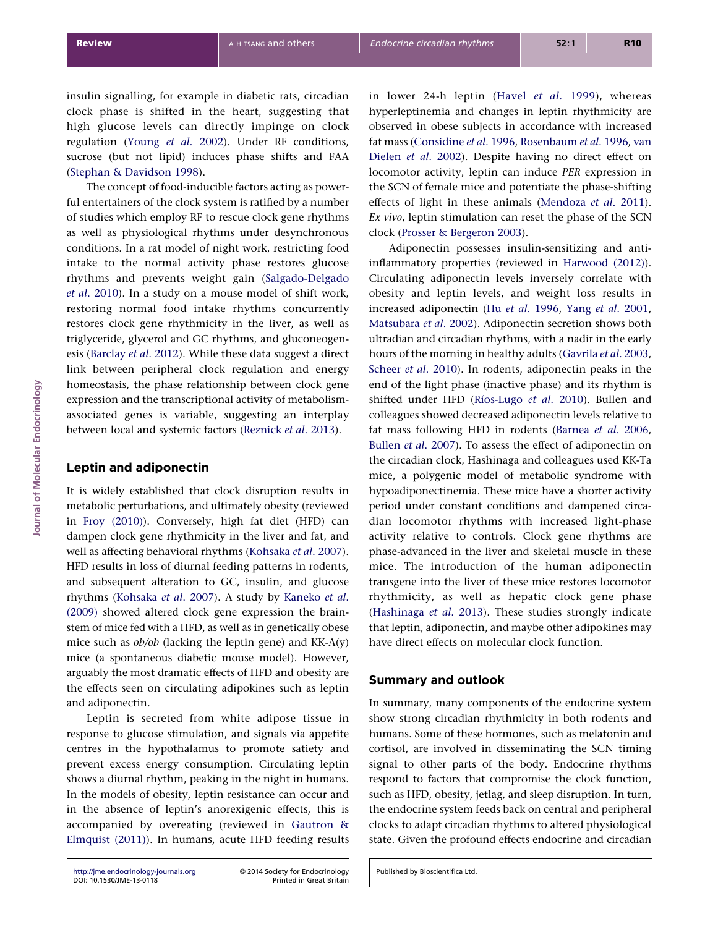insulin signalling, for example in diabetic rats, circadian clock phase is shifted in the heart, suggesting that high glucose levels can directly impinge on clock regulation (Young et al[. 2002\)](#page-15-0). Under RF conditions, sucrose (but not lipid) induces phase shifts and FAA ([Stephan & Davidson 1998](#page-14-0)).

The concept of food-inducible factors acting as powerful entertainers of the clock system is ratified by a number of studies which employ RF to rescue clock gene rhythms as well as physiological rhythms under desynchronous conditions. In a rat model of night work, restricting food intake to the normal activity phase restores glucose rhythms and prevents weight gain [\(Salgado-Delgado](#page-13-0) et al[. 2010\)](#page-13-0). In a study on a mouse model of shift work, restoring normal food intake rhythms concurrently restores clock gene rhythmicity in the liver, as well as triglyceride, glycerol and GC rhythms, and gluconeogenesis ([Barclay](#page-10-0) et al. 2012). While these data suggest a direct link between peripheral clock regulation and energy homeostasis, the phase relationship between clock gene expression and the transcriptional activity of metabolismassociated genes is variable, suggesting an interplay between local and systemic factors ([Reznick](#page-13-0) et al. 2013).

# Leptin and adiponectin

It is widely established that clock disruption results in metabolic perturbations, and ultimately obesity (reviewed in [Froy \(2010\)](#page-11-0)). Conversely, high fat diet (HFD) can dampen clock gene rhythmicity in the liver and fat, and well as affecting behavioral rhythms ([Kohsaka](#page-12-0) et al. 2007). HFD results in loss of diurnal feeding patterns in rodents, and subsequent alteration to GC, insulin, and glucose rhythms [\(Kohsaka](#page-12-0) et al. 2007). A study by [Kaneko](#page-12-0) et al. [\(2009\)](#page-12-0) showed altered clock gene expression the brainstem of mice fed with a HFD, as well as in genetically obese mice such as  $ob/ob$  (lacking the leptin gene) and KK-A(y) mice (a spontaneous diabetic mouse model). However, arguably the most dramatic effects of HFD and obesity are the effects seen on circulating adipokines such as leptin and adiponectin.

Leptin is secreted from white adipose tissue in response to glucose stimulation, and signals via appetite centres in the hypothalamus to promote satiety and prevent excess energy consumption. Circulating leptin shows a diurnal rhythm, peaking in the night in humans. In the models of obesity, leptin resistance can occur and in the absence of leptin's anorexigenic effects, this is accompanied by overeating (reviewed in [Gautron &](#page-11-0) [Elmquist \(2011\)](#page-11-0)). In humans, acute HFD feeding results in lower 24-h leptin (Havel et al[. 1999\)](#page-11-0), whereas hyperleptinemia and changes in leptin rhythmicity are observed in obese subjects in accordance with increased fat mass [\(Considine](#page-10-0) et al. 1996, [Rosenbaum](#page-13-0) et al. 1996, [van](#page-11-0) Dielen et al[. 2002](#page-11-0)). Despite having no direct effect on locomotor activity, leptin can induce PER expression in the SCN of female mice and potentiate the phase-shifting effects of light in these animals [\(Mendoza](#page-12-0) et al. 2011). Ex vivo, leptin stimulation can reset the phase of the SCN clock [\(Prosser & Bergeron 2003\)](#page-13-0).

Adiponectin possesses insulin-sensitizing and antiinflammatory properties (reviewed in [Harwood \(2012\)\)](#page-11-0). Circulating adiponectin levels inversely correlate with obesity and leptin levels, and weight loss results in increased adiponectin (Hu et al[. 1996,](#page-11-0) Yang et al[. 2001,](#page-15-0) [Matsubara](#page-12-0) et al. 2002). Adiponectin secretion shows both ultradian and circadian rhythms, with a nadir in the early hours of the morning in healthy adults ([Gavrila](#page-11-0) et al. 2003, Scheer et al[. 2010\)](#page-13-0). In rodents, adiponectin peaks in the end of the light phase (inactive phase) and its rhythm is shifted under HFD (Ríos-Lugo et al. 2010). Bullen and colleagues showed decreased adiponectin levels relative to fat mass following HFD in rodents [\(Barnea](#page-10-0) et al. 2006, [Bullen](#page-10-0) et al. 2007). To assess the effect of adiponectin on the circadian clock, Hashinaga and colleagues used KK-Ta mice, a polygenic model of metabolic syndrome with hypoadiponectinemia. These mice have a shorter activity period under constant conditions and dampened circadian locomotor rhythms with increased light-phase activity relative to controls. Clock gene rhythms are phase-advanced in the liver and skeletal muscle in these mice. The introduction of the human adiponectin transgene into the liver of these mice restores locomotor rhythmicity, as well as hepatic clock gene phase ([Hashinaga](#page-11-0) et al. 2013). These studies strongly indicate that leptin, adiponectin, and maybe other adipokines may have direct effects on molecular clock function.

# Summary and outlook

In summary, many components of the endocrine system show strong circadian rhythmicity in both rodents and humans. Some of these hormones, such as melatonin and cortisol, are involved in disseminating the SCN timing signal to other parts of the body. Endocrine rhythms respond to factors that compromise the clock function, such as HFD, obesity, jetlag, and sleep disruption. In turn, the endocrine system feeds back on central and peripheral clocks to adapt circadian rhythms to altered physiological state. Given the profound effects endocrine and circadian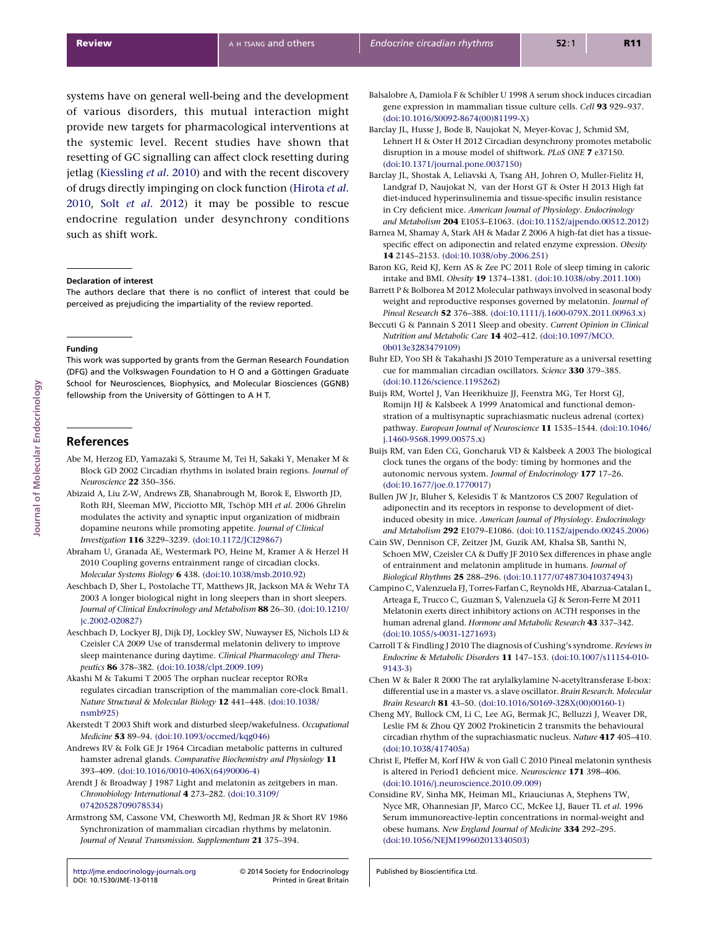<span id="page-10-0"></span>systems have on general well-being and the development of various disorders, this mutual interaction might provide new targets for pharmacological interventions at the systemic level. Recent studies have shown that resetting of GC signalling can affect clock resetting during jetlag [\(Kiessling](#page-12-0) et al. 2010) and with the recent discovery of drugs directly impinging on clock function [\(Hirota](#page-11-0) et al. [2010](#page-11-0), Solt et al[. 2012](#page-14-0)) it may be possible to rescue endocrine regulation under desynchrony conditions such as shift work.

### Declaration of interest

The authors declare that there is no conflict of interest that could be perceived as prejudicing the impartiality of the review reported.

### Funding

This work was supported by grants from the German Research Foundation (DFG) and the Volkswagen Foundation to H O and a Göttingen Graduate School for Neurosciences, Biophysics, and Molecular Biosciences (GGNB) fellowship from the University of Göttingen to A H T.

# References

- Abe M, Herzog ED, Yamazaki S, Straume M, Tei H, Sakaki Y, Menaker M & Block GD 2002 Circadian rhythms in isolated brain regions. Journal of Neuroscience 22 350–356.
- Abizaid A, Liu Z-W, Andrews ZB, Shanabrough M, Borok E, Elsworth JD, Roth RH, Sleeman MW, Picciotto MR, Tschöp MH et al. 2006 Ghrelin modulates the activity and synaptic input organization of midbrain dopamine neurons while promoting appetite. Journal of Clinical Investigation 116 3229–3239. ([doi:10.1172/JCI29867](http://dx.doi.org/10.1172/JCI29867))
- Abraham U, Granada AE, Westermark PO, Heine M, Kramer A & Herzel H 2010 Coupling governs entrainment range of circadian clocks. Molecular Systems Biology 6 438. [\(doi:10.1038/msb.2010.92](http://dx.doi.org/10.1038/msb.2010.92))
- Aeschbach D, Sher L, Postolache TT, Matthews JR, Jackson MA & Wehr TA 2003 A longer biological night in long sleepers than in short sleepers. Journal of Clinical Endocrinology and Metabolism 88 26–30. [\(doi:10.1210/](http://dx.doi.org/10.1210/jc.2002-020827) [jc.2002-020827\)](http://dx.doi.org/10.1210/jc.2002-020827)
- Aeschbach D, Lockyer BJ, Dijk DJ, Lockley SW, Nuwayser ES, Nichols LD & Czeisler CA 2009 Use of transdermal melatonin delivery to improve sleep maintenance during daytime. Clinical Pharmacology and Therapeutics 86 378–382. [\(doi:10.1038/clpt.2009.109](http://dx.doi.org/10.1038/clpt.2009.109))
- Akashi M & Takumi T 2005 The orphan nuclear receptor RORa regulates circadian transcription of the mammalian core-clock Bmal1. Nature Structural & Molecular Biology 12 441–448. [\(doi:10.1038/](http://dx.doi.org/10.1038/nsmb925) [nsmb925\)](http://dx.doi.org/10.1038/nsmb925)
- Akerstedt T 2003 Shift work and disturbed sleep/wakefulness. Occupational Medicine 53 89–94. ([doi:10.1093/occmed/kqg046\)](http://dx.doi.org/10.1093/occmed/kqg046)
- Andrews RV & Folk GE Jr 1964 Circadian metabolic patterns in cultured hamster adrenal glands. Comparative Biochemistry and Physiology 11 393–409. ([doi:10.1016/0010-406X\(64\)90006-4](http://dx.doi.org/10.1016/0010-406X(64)90006-4))
- Arendt J & Broadway J 1987 Light and melatonin as zeitgebers in man. Chronobiology International 4 273–282. ([doi:10.3109/](http://dx.doi.org/10.3109/07420528709078534) [07420528709078534\)](http://dx.doi.org/10.3109/07420528709078534)
- Armstrong SM, Cassone VM, Chesworth MJ, Redman JR & Short RV 1986 Synchronization of mammalian circadian rhythms by melatonin. Journal of Neural Transmission. Supplementum 21 375–394.

[http://jme.endocrinology-journals.org](http://jme.endocrinology-journals.org/) © 2014 Society for Endocrinology<br>DOI: 10.1530/JME-13-0118 Printed in Great Britain [DOI: 10.1530/JME-13-0118](http://dx.doi.org/10.1530/JME-13-0118)

Balsalobre A, Damiola F & Schibler U 1998 A serum shock induces circadian gene expression in mammalian tissue culture cells. Cell 93 929–937. [\(doi:10.1016/S0092-8674\(00\)81199-X\)](http://dx.doi.org/10.1016/S0092-8674(00)81199-X)

- Barclay JL, Husse J, Bode B, Naujokat N, Meyer-Kovac J, Schmid SM, Lehnert H & Oster H 2012 Circadian desynchrony promotes metabolic disruption in a mouse model of shiftwork. PLoS ONE 7 e37150. [\(doi:10.1371/journal.pone.0037150\)](http://dx.doi.org/10.1371/journal.pone.0037150)
- Barclay JL, Shostak A, Leliavski A, Tsang AH, Johren O, Muller-Fielitz H, Landgraf D, Naujokat N, van der Horst GT & Oster H 2013 High fat diet-induced hyperinsulinemia and tissue-specific insulin resistance in Cry deficient mice. American Journal of Physiology. Endocrinology and Metabolism 204 E1053–E1063. [\(doi:10.1152/ajpendo.00512.2012\)](http://dx.doi.org/10.1152/ajpendo.00512.2012)
- Barnea M, Shamay A, Stark AH & Madar Z 2006 A high-fat diet has a tissuespecific effect on adiponectin and related enzyme expression. Obesity 14 2145–2153. ([doi:10.1038/oby.2006.251\)](http://dx.doi.org/10.1038/oby.2006.251)
- Baron KG, Reid KJ, Kern AS & Zee PC 2011 Role of sleep timing in caloric intake and BMI. Obesity 19 1374–1381. ([doi:10.1038/oby.2011.100](http://dx.doi.org/10.1038/oby.2011.100))
- Barrett P & Bolborea M 2012 Molecular pathways involved in seasonal body weight and reproductive responses governed by melatonin. Journal of Pineal Research 52 376–388. ([doi:10.1111/j.1600-079X.2011.00963.x](http://dx.doi.org/10.1111/j.1600-079X.2011.00963.x))
- Beccuti G & Pannain S 2011 Sleep and obesity. Current Opinion in Clinical Nutrition and Metabolic Care 14 402–412. [\(doi:10.1097/MCO.](http://dx.doi.org/10.1097/MCO.0b013e3283479109) [0b013e3283479109](http://dx.doi.org/10.1097/MCO.0b013e3283479109))
- Buhr ED, Yoo SH & Takahashi JS 2010 Temperature as a universal resetting cue for mammalian circadian oscillators. Science 330 379–385. [\(doi:10.1126/science.1195262\)](http://dx.doi.org/10.1126/science.1195262)
- Buijs RM, Wortel J, Van Heerikhuize JJ, Feenstra MG, Ter Horst GJ, Romijn HJ & Kalsbeek A 1999 Anatomical and functional demonstration of a multisynaptic suprachiasmatic nucleus adrenal (cortex) pathway. European Journal of Neuroscience 11 1535–1544. [\(doi:10.1046/](http://dx.doi.org/10.1046/j.1460-9568.1999.00575.x) [j.1460-9568.1999.00575.x](http://dx.doi.org/10.1046/j.1460-9568.1999.00575.x))
- Buijs RM, van Eden CG, Goncharuk VD & Kalsbeek A 2003 The biological clock tunes the organs of the body: timing by hormones and the autonomic nervous system. Journal of Endocrinology 177 17–26. [\(doi:10.1677/joe.0.1770017](http://dx.doi.org/10.1677/joe.0.1770017))
- Bullen JW Jr, Bluher S, Kelesidis T & Mantzoros CS 2007 Regulation of adiponectin and its receptors in response to development of dietinduced obesity in mice. American Journal of Physiology. Endocrinology and Metabolism 292 E1079–E1086. [\(doi:10.1152/ajpendo.00245.2006\)](http://dx.doi.org/10.1152/ajpendo.00245.2006)
- Cain SW, Dennison CF, Zeitzer JM, Guzik AM, Khalsa SB, Santhi N, Schoen MW, Czeisler CA & Duffy JF 2010 Sex differences in phase angle of entrainment and melatonin amplitude in humans. Journal of Biological Rhythms 25 288–296. ([doi:10.1177/0748730410374943](http://dx.doi.org/10.1177/0748730410374943))
- Campino C, Valenzuela FJ, Torres-Farfan C, Reynolds HE, Abarzua-Catalan L, Arteaga E, Trucco C, Guzman S, Valenzuela GJ & Seron-Ferre M 2011 Melatonin exerts direct inhibitory actions on ACTH responses in the human adrenal gland. Hormone and Metabolic Research 43 337-342. [\(doi:10.1055/s-0031-1271693](http://dx.doi.org/10.1055/s-0031-1271693))
- Carroll T & Findling J 2010 The diagnosis of Cushing's syndrome. Reviews in Endocrine & Metabolic Disorders 11 147–153. ([doi:10.1007/s11154-010-](http://dx.doi.org/10.1007/s11154-010-9143-3) [9143-3\)](http://dx.doi.org/10.1007/s11154-010-9143-3)
- Chen W & Baler R 2000 The rat arylalkylamine N-acetyltransferase E-box: differential use in a master vs. a slave oscillator. Brain Research. Molecular Brain Research 81 43–50. ([doi:10.1016/S0169-328X\(00\)00160-1](http://dx.doi.org/10.1016/S0169-328X(00)00160-1))
- Cheng MY, Bullock CM, Li C, Lee AG, Bermak JC, Belluzzi J, Weaver DR, Leslie FM & Zhou QY 2002 Prokineticin 2 transmits the behavioural circadian rhythm of the suprachiasmatic nucleus. Nature 417 405–410. [\(doi:10.1038/417405a\)](http://dx.doi.org/10.1038/417405a)
- Christ E, Pfeffer M, Korf HW & von Gall C 2010 Pineal melatonin synthesis is altered in Period1 deficient mice. Neuroscience 171 398–406. [\(doi:10.1016/j.neuroscience.2010.09.009](http://dx.doi.org/10.1016/j.neuroscience.2010.09.009))
- Considine RV, Sinha MK, Heiman ML, Kriauciunas A, Stephens TW, Nyce MR, Ohannesian JP, Marco CC, McKee LJ, Bauer TL et al. 1996 Serum immunoreactive-leptin concentrations in normal-weight and obese humans. New England Journal of Medicine 334 292–295. [\(doi:10.1056/NEJM199602013340503](http://dx.doi.org/10.1056/NEJM199602013340503))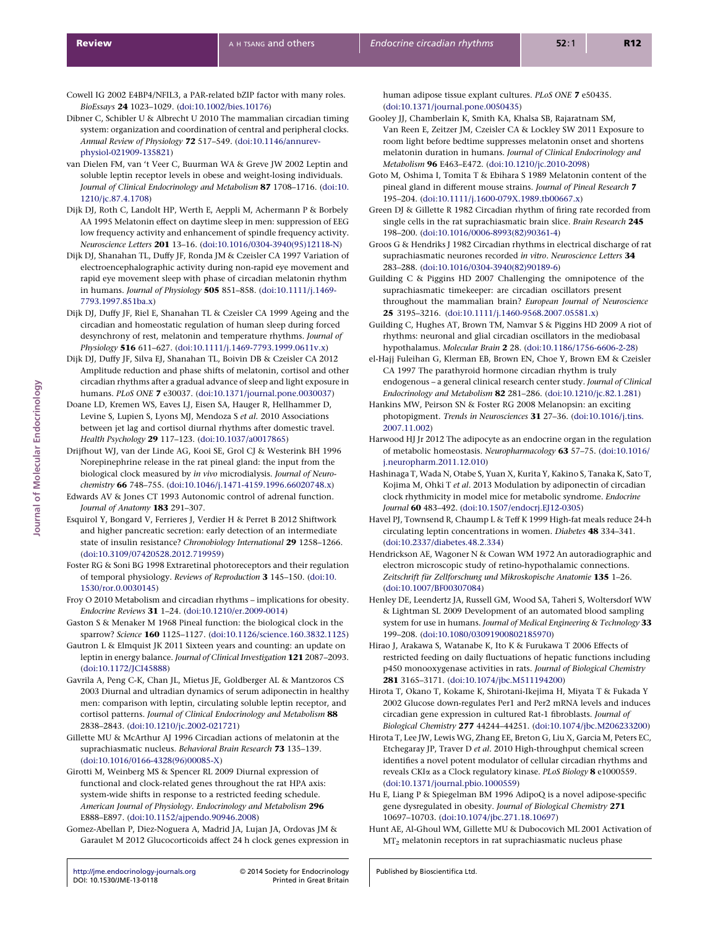- <span id="page-11-0"></span>Cowell IG 2002 E4BP4/NFIL3, a PAR-related bZIP factor with many roles. BioEssays 24 1023–1029. [\(doi:10.1002/bies.10176](http://dx.doi.org/10.1002/bies.10176))
- Dibner C, Schibler U & Albrecht U 2010 The mammalian circadian timing system: organization and coordination of central and peripheral clocks. Annual Review of Physiology 72 517–549. ([doi:10.1146/annurev](http://dx.doi.org/10.1146/annurev-physiol-021909-135821)[physiol-021909-135821](http://dx.doi.org/10.1146/annurev-physiol-021909-135821))
- van Dielen FM, van 't Veer C, Buurman WA & Greve JW 2002 Leptin and soluble leptin receptor levels in obese and weight-losing individuals. Journal of Clinical Endocrinology and Metabolism 87 1708–1716. ([doi:10.](http://dx.doi.org/10.1210/jc.87.4.1708) [1210/jc.87.4.1708](http://dx.doi.org/10.1210/jc.87.4.1708))
- Dijk DJ, Roth C, Landolt HP, Werth E, Aeppli M, Achermann P & Borbely AA 1995 Melatonin effect on daytime sleep in men: suppression of EEG low frequency activity and enhancement of spindle frequency activity. Neuroscience Letters 201 13–16. ([doi:10.1016/0304-3940\(95\)12118-N](http://dx.doi.org/10.1016/0304-3940(95)12118-N))
- Dijk DJ, Shanahan TL, Duffy JF, Ronda JM & Czeisler CA 1997 Variation of electroencephalographic activity during non-rapid eye movement and rapid eye movement sleep with phase of circadian melatonin rhythm in humans. Journal of Physiology 505 851–858. [\(doi:10.1111/j.1469-](http://dx.doi.org/10.1111/j.1469-7793.1997.851ba.x) [7793.1997.851ba.x](http://dx.doi.org/10.1111/j.1469-7793.1997.851ba.x))
- Dijk DJ, Duffy JF, Riel E, Shanahan TL & Czeisler CA 1999 Ageing and the circadian and homeostatic regulation of human sleep during forced desynchrony of rest, melatonin and temperature rhythms. Journal of Physiology 516 611–627. ([doi:10.1111/j.1469-7793.1999.0611v.x\)](http://dx.doi.org/10.1111/j.1469-7793.1999.0611v.x)
- Dijk DJ, Duffy JF, Silva EJ, Shanahan TL, Boivin DB & Czeisler CA 2012 Amplitude reduction and phase shifts of melatonin, cortisol and other circadian rhythms after a gradual advance of sleep and light exposure in humans. PLoS ONE 7 e30037. [\(doi:10.1371/journal.pone.0030037\)](http://dx.doi.org/10.1371/journal.pone.0030037)
- Doane LD, Kremen WS, Eaves LJ, Eisen SA, Hauger R, Hellhammer D, Levine S, Lupien S, Lyons MJ, Mendoza S et al. 2010 Associations between jet lag and cortisol diurnal rhythms after domestic travel. Health Psychology 29 117–123. ([doi:10.1037/a0017865\)](http://dx.doi.org/10.1037/a0017865)
- Drijfhout WJ, van der Linde AG, Kooi SE, Grol CJ & Westerink BH 1996 Norepinephrine release in the rat pineal gland: the input from the biological clock measured by in vivo microdialysis. Journal of Neurochemistry 66 748–755. ([doi:10.1046/j.1471-4159.1996.66020748.x\)](http://dx.doi.org/10.1046/j.1471-4159.1996.66020748.x)
- Edwards AV & Jones CT 1993 Autonomic control of adrenal function. Journal of Anatomy 183 291–307.
- Esquirol Y, Bongard V, Ferrieres J, Verdier H & Perret B 2012 Shiftwork and higher pancreatic secretion: early detection of an intermediate state of insulin resistance? Chronobiology International 29 1258–1266. [\(doi:10.3109/07420528.2012.719959\)](http://dx.doi.org/10.3109/07420528.2012.719959)
- Foster RG & Soni BG 1998 Extraretinal photoreceptors and their regulation of temporal physiology. Reviews of Reproduction 3 145–150. [\(doi:10.](http://dx.doi.org/10.1530/ror.0.0030145) [1530/ror.0.0030145\)](http://dx.doi.org/10.1530/ror.0.0030145)
- Froy O 2010 Metabolism and circadian rhythms implications for obesity. Endocrine Reviews 31 1–24. [\(doi:10.1210/er.2009-0014\)](http://dx.doi.org/10.1210/er.2009-0014)
- Gaston S & Menaker M 1968 Pineal function: the biological clock in the sparrow? Science 160 1125–1127. [\(doi:10.1126/science.160.3832.1125](http://dx.doi.org/10.1126/science.160.3832.1125))
- Gautron L & Elmquist JK 2011 Sixteen years and counting: an update on leptin in energy balance. Journal of Clinical Investigation 121 2087–2093. [\(doi:10.1172/JCI45888\)](http://dx.doi.org/10.1172/JCI45888)

Gavrila A, Peng C-K, Chan JL, Mietus JE, Goldberger AL & Mantzoros CS 2003 Diurnal and ultradian dynamics of serum adiponectin in healthy men: comparison with leptin, circulating soluble leptin receptor, and cortisol patterns. Journal of Clinical Endocrinology and Metabolism 88 2838–2843. ([doi:10.1210/jc.2002-021721](http://dx.doi.org/10.1210/jc.2002-021721))

Gillette MU & McArthur AJ 1996 Circadian actions of melatonin at the suprachiasmatic nucleus. Behavioral Brain Research 73 135–139. [\(doi:10.1016/0166-4328\(96\)00085-X](http://dx.doi.org/10.1016/0166-4328(96)00085-X))

- Girotti M, Weinberg MS & Spencer RL 2009 Diurnal expression of functional and clock-related genes throughout the rat HPA axis: system-wide shifts in response to a restricted feeding schedule. American Journal of Physiology. Endocrinology and Metabolism 296 E888–E897. ([doi:10.1152/ajpendo.90946.2008\)](http://dx.doi.org/10.1152/ajpendo.90946.2008)
- Gomez-Abellan P, Diez-Noguera A, Madrid JA, Lujan JA, Ordovas JM & Garaulet M 2012 Glucocorticoids affect 24 h clock genes expression in

[http://jme.endocrinology-journals.org](http://jme.endocrinology-journals.org/) © 2014 Society for Endocrinology<br>DOI: 10.1530/JME-13-0118 Printed in Great Britain [DOI: 10.1530/JME-13-0118](http://dx.doi.org/10.1530/JME-13-0118)

human adipose tissue explant cultures. PLoS ONE 7 e50435. [\(doi:10.1371/journal.pone.0050435\)](http://dx.doi.org/10.1371/journal.pone.0050435)

- Gooley JJ, Chamberlain K, Smith KA, Khalsa SB, Rajaratnam SM, Van Reen E, Zeitzer JM, Czeisler CA & Lockley SW 2011 Exposure to room light before bedtime suppresses melatonin onset and shortens melatonin duration in humans. Journal of Clinical Endocrinology and Metabolism 96 E463–E472. [\(doi:10.1210/jc.2010-2098](http://dx.doi.org/10.1210/jc.2010-2098))
- Goto M, Oshima I, Tomita T & Ebihara S 1989 Melatonin content of the pineal gland in different mouse strains. Journal of Pineal Research 7 195–204. ([doi:10.1111/j.1600-079X.1989.tb00667.x\)](http://dx.doi.org/10.1111/j.1600-079X.1989.tb00667.x)

Green DJ & Gillette R 1982 Circadian rhythm of firing rate recorded from single cells in the rat suprachiasmatic brain slice. Brain Research 245 198–200. ([doi:10.1016/0006-8993\(82\)90361-4\)](http://dx.doi.org/10.1016/0006-8993(82)90361-4)

Groos G & Hendriks J 1982 Circadian rhythms in electrical discharge of rat suprachiasmatic neurones recorded in vitro. Neuroscience Letters 34 283–288. ([doi:10.1016/0304-3940\(82\)90189-6\)](http://dx.doi.org/10.1016/0304-3940(82)90189-6)

Guilding C & Piggins HD 2007 Challenging the omnipotence of the suprachiasmatic timekeeper: are circadian oscillators present throughout the mammalian brain? European Journal of Neuroscience 25 3195–3216. ([doi:10.1111/j.1460-9568.2007.05581.x\)](http://dx.doi.org/10.1111/j.1460-9568.2007.05581.x)

Guilding C, Hughes AT, Brown TM, Namvar S & Piggins HD 2009 A riot of rhythms: neuronal and glial circadian oscillators in the mediobasal hypothalamus. Molecular Brain 2 28. [\(doi:10.1186/1756-6606-2-28\)](http://dx.doi.org/10.1186/1756-6606-2-28)

el-Hajj Fuleihan G, Klerman EB, Brown EN, Choe Y, Brown EM & Czeisler CA 1997 The parathyroid hormone circadian rhythm is truly endogenous – a general clinical research center study. Journal of Clinical Endocrinology and Metabolism 82 281–286. [\(doi:10.1210/jc.82.1.281](http://dx.doi.org/10.1210/jc.82.1.281))

Hankins MW, Peirson SN & Foster RG 2008 Melanopsin: an exciting photopigment. Trends in Neurosciences 31 27–36. [\(doi:10.1016/j.tins.](http://dx.doi.org/10.1016/j.tins.2007.11.002) [2007.11.002\)](http://dx.doi.org/10.1016/j.tins.2007.11.002)

Harwood HJ Jr 2012 The adipocyte as an endocrine organ in the regulation of metabolic homeostasis. Neuropharmacology 63 57–75. ([doi:10.1016/](http://dx.doi.org/10.1016/j.neuropharm.2011.12.010) [j.neuropharm.2011.12.010\)](http://dx.doi.org/10.1016/j.neuropharm.2011.12.010)

Hashinaga T, Wada N, Otabe S, Yuan X, Kurita Y, Kakino S, Tanaka K, Sato T, Kojima M, Ohki T et al. 2013 Modulation by adiponectin of circadian clock rhythmicity in model mice for metabolic syndrome. Endocrine Journal 60 483–492. ([doi:10.1507/endocrj.EJ12-0305](http://dx.doi.org/10.1507/endocrj.EJ12-0305))

Havel PJ, Townsend R, Chaump L & Teff K 1999 High-fat meals reduce 24-h circulating leptin concentrations in women. Diabetes 48 334–341. [\(doi:10.2337/diabetes.48.2.334](http://dx.doi.org/10.2337/diabetes.48.2.334))

Hendrickson AE, Wagoner N & Cowan WM 1972 An autoradiographic and electron microscopic study of retino-hypothalamic connections. Zeitschrift für Zellforschung und Mikroskopische Anatomie 135 1-26. [\(doi:10.1007/BF00307084](http://dx.doi.org/10.1007/BF00307084))

Henley DE, Leendertz JA, Russell GM, Wood SA, Taheri S, Woltersdorf WW & Lightman SL 2009 Development of an automated blood sampling system for use in humans. Journal of Medical Engineering & Technology 33 199–208. ([doi:10.1080/03091900802185970](http://dx.doi.org/10.1080/03091900802185970))

Hirao J, Arakawa S, Watanabe K, Ito K & Furukawa T 2006 Effects of restricted feeding on daily fluctuations of hepatic functions including p450 monooxygenase activities in rats. Journal of Biological Chemistry 281 3165–3171. ([doi:10.1074/jbc.M511194200\)](http://dx.doi.org/10.1074/jbc.M511194200)

Hirota T, Okano T, Kokame K, Shirotani-Ikejima H, Miyata T & Fukada Y 2002 Glucose down-regulates Per1 and Per2 mRNA levels and induces circadian gene expression in cultured Rat-1 fibroblasts. Journal of Biological Chemistry 277 44244–44251. [\(doi:10.1074/jbc.M206233200](http://dx.doi.org/10.1074/jbc.M206233200))

Hirota T, Lee JW, Lewis WG, Zhang EE, Breton G, Liu X, Garcia M, Peters EC, Etchegaray JP, Traver D et al. 2010 High-throughput chemical screen identifies a novel potent modulator of cellular circadian rhythms and reveals CKIa as a Clock regulatory kinase. PLoS Biology 8 e1000559. [\(doi:10.1371/journal.pbio.1000559\)](http://dx.doi.org/10.1371/journal.pbio.1000559)

Hu E, Liang P & Spiegelman BM 1996 AdipoQ is a novel adipose-specific gene dysregulated in obesity. Journal of Biological Chemistry 271 10697–10703. ([doi:10.1074/jbc.271.18.10697\)](http://dx.doi.org/10.1074/jbc.271.18.10697)

Hunt AE, Al-Ghoul WM, Gillette MU & Dubocovich ML 2001 Activation of MT<sub>2</sub> melatonin receptors in rat suprachiasmatic nucleus phase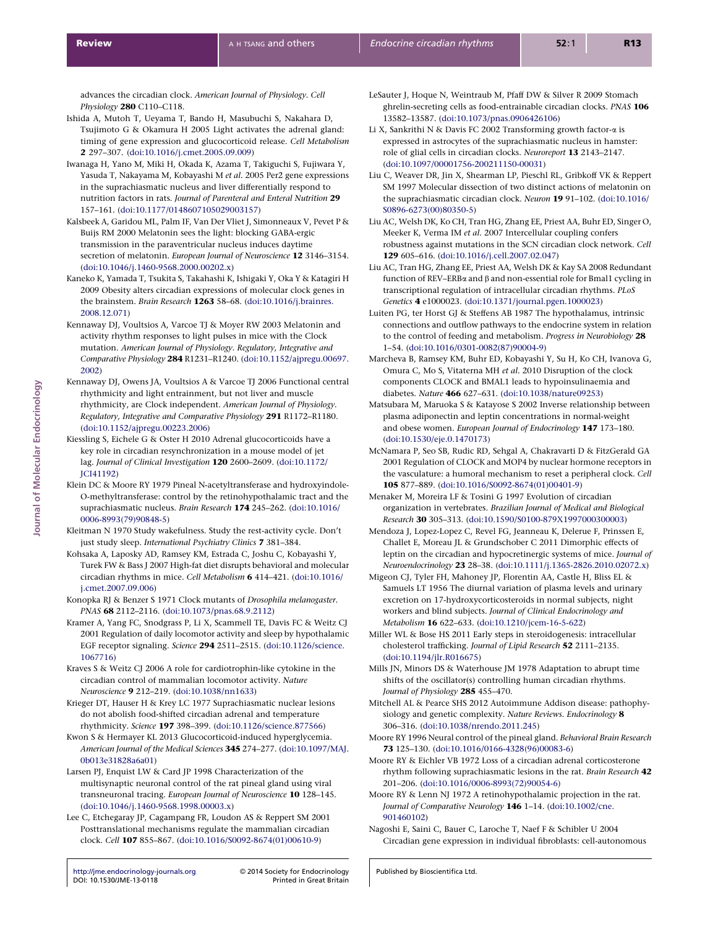<span id="page-12-0"></span>advances the circadian clock. American Journal of Physiology. Cell Physiology 280 C110-C118.

- Ishida A, Mutoh T, Ueyama T, Bando H, Masubuchi S, Nakahara D, Tsujimoto G & Okamura H 2005 Light activates the adrenal gland: timing of gene expression and glucocorticoid release. Cell Metabolism 2 297–307. ([doi:10.1016/j.cmet.2005.09.009](http://dx.doi.org/10.1016/j.cmet.2005.09.009))
- Iwanaga H, Yano M, Miki H, Okada K, Azama T, Takiguchi S, Fujiwara Y, Yasuda T, Nakayama M, Kobayashi M et al. 2005 Per2 gene expressions in the suprachiasmatic nucleus and liver differentially respond to nutrition factors in rats. Journal of Parenteral and Enteral Nutrition 29 157–161. ([doi:10.1177/0148607105029003157](http://dx.doi.org/10.1177/0148607105029003157))
- Kalsbeek A, Garidou ML, Palm IF, Van Der Vliet J, Simonneaux V, Pevet P & Buijs RM 2000 Melatonin sees the light: blocking GABA-ergic transmission in the paraventricular nucleus induces daytime secretion of melatonin. European Journal of Neuroscience 12 3146-3154. [\(doi:10.1046/j.1460-9568.2000.00202.x](http://dx.doi.org/10.1046/j.1460-9568.2000.00202.x))
- Kaneko K, Yamada T, Tsukita S, Takahashi K, Ishigaki Y, Oka Y & Katagiri H 2009 Obesity alters circadian expressions of molecular clock genes in the brainstem. Brain Research 1263 58–68. ([doi:10.1016/j.brainres.](http://dx.doi.org/10.1016/j.brainres.2008.12.071) [2008.12.071\)](http://dx.doi.org/10.1016/j.brainres.2008.12.071)
- Kennaway DJ, Voultsios A, Varcoe TJ & Moyer RW 2003 Melatonin and activity rhythm responses to light pulses in mice with the Clock mutation. American Journal of Physiology. Regulatory, Integrative and Comparative Physiology 284 R1231–R1240. ([doi:10.1152/ajpregu.00697.](http://dx.doi.org/10.1152/ajpregu.00697.2002) [2002\)](http://dx.doi.org/10.1152/ajpregu.00697.2002)
- Kennaway DJ, Owens JA, Voultsios A & Varcoe TJ 2006 Functional central rhythmicity and light entrainment, but not liver and muscle rhythmicity, are Clock independent. American Journal of Physiology. Regulatory, Integrative and Comparative Physiology 291 R1172–R1180. [\(doi:10.1152/ajpregu.00223.2006\)](http://dx.doi.org/10.1152/ajpregu.00223.2006)
- Kiessling S, Eichele G & Oster H 2010 Adrenal glucocorticoids have a key role in circadian resynchronization in a mouse model of jet lag. Journal of Clinical Investigation 120 2600–2609. [\(doi:10.1172/](http://dx.doi.org/10.1172/JCI41192) [JCI41192\)](http://dx.doi.org/10.1172/JCI41192)
- Klein DC & Moore RY 1979 Pineal N-acetyltransferase and hydroxyindole-O-methyltransferase: control by the retinohypothalamic tract and the suprachiasmatic nucleus. Brain Research 174 245–262. ([doi:10.1016/](http://dx.doi.org/10.1016/0006-8993(79)90848-5) [0006-8993\(79\)90848-5](http://dx.doi.org/10.1016/0006-8993(79)90848-5))
- Kleitman N 1970 Study wakefulness. Study the rest-activity cycle. Don't just study sleep. International Psychiatry Clinics 7 381–384.
- Kohsaka A, Laposky AD, Ramsey KM, Estrada C, Joshu C, Kobayashi Y, Turek FW & Bass J 2007 High-fat diet disrupts behavioral and molecular circadian rhythms in mice. Cell Metabolism 6 414–421. [\(doi:10.1016/](http://dx.doi.org/10.1016/j.cmet.2007.09.006) [j.cmet.2007.09.006](http://dx.doi.org/10.1016/j.cmet.2007.09.006))
- Konopka RJ & Benzer S 1971 Clock mutants of Drosophila melanogaster. PNAS 68 2112–2116. [\(doi:10.1073/pnas.68.9.2112\)](http://dx.doi.org/10.1073/pnas.68.9.2112)
- Kramer A, Yang FC, Snodgrass P, Li X, Scammell TE, Davis FC & Weitz CJ 2001 Regulation of daily locomotor activity and sleep by hypothalamic EGF receptor signaling. Science 294 2511–2515. [\(doi:10.1126/science.](http://dx.doi.org/10.1126/science.1067716) [1067716\)](http://dx.doi.org/10.1126/science.1067716)
- Kraves S & Weitz CJ 2006 A role for cardiotrophin-like cytokine in the circadian control of mammalian locomotor activity. Nature Neuroscience 9 212–219. [\(doi:10.1038/nn1633\)](http://dx.doi.org/10.1038/nn1633)
- Krieger DT, Hauser H & Krey LC 1977 Suprachiasmatic nuclear lesions do not abolish food-shifted circadian adrenal and temperature rhythmicity. Science 197 398–399. ([doi:10.1126/science.877566](http://dx.doi.org/10.1126/science.877566))
- Kwon S & Hermayer KL 2013 Glucocorticoid-induced hyperglycemia. American Journal of the Medical Sciences 345 274–277. [\(doi:10.1097/MAJ.](http://dx.doi.org/10.1097/MAJ.0b013e31828a6a01) [0b013e31828a6a01](http://dx.doi.org/10.1097/MAJ.0b013e31828a6a01))
- Larsen PJ, Enquist LW & Card JP 1998 Characterization of the multisynaptic neuronal control of the rat pineal gland using viral transneuronal tracing. European Journal of Neuroscience 10 128–145. [\(doi:10.1046/j.1460-9568.1998.00003.x](http://dx.doi.org/10.1046/j.1460-9568.1998.00003.x))
- Lee C, Etchegaray JP, Cagampang FR, Loudon AS & Reppert SM 2001 Posttranslational mechanisms regulate the mammalian circadian clock. Cell 107 855–867. [\(doi:10.1016/S0092-8674\(01\)00610-9\)](http://dx.doi.org/10.1016/S0092-8674(01)00610-9)
- LeSauter J, Hoque N, Weintraub M, Pfaff DW & Silver R 2009 Stomach ghrelin-secreting cells as food-entrainable circadian clocks. PNAS 106 13582–13587. ([doi:10.1073/pnas.0906426106](http://dx.doi.org/10.1073/pnas.0906426106))
- Li X, Sankrithi N & Davis FC 2002 Transforming growth factor-a is expressed in astrocytes of the suprachiasmatic nucleus in hamster: role of glial cells in circadian clocks. Neuroreport 13 2143–2147. [\(doi:10.1097/00001756-200211150-00031](http://dx.doi.org/10.1097/00001756-200211150-00031))
- Liu C, Weaver DR, Jin X, Shearman LP, Pieschl RL, Gribkoff VK & Reppert SM 1997 Molecular dissection of two distinct actions of melatonin on the suprachiasmatic circadian clock. Neuron 19 91–102. [\(doi:10.1016/](http://dx.doi.org/10.1016/S0896-6273(00)80350-5) [S0896-6273\(00\)80350-5\)](http://dx.doi.org/10.1016/S0896-6273(00)80350-5)
- Liu AC, Welsh DK, Ko CH, Tran HG, Zhang EE, Priest AA, Buhr ED, Singer O, Meeker K, Verma IM et al. 2007 Intercellular coupling confers robustness against mutations in the SCN circadian clock network. Cell 129 605–616. ([doi:10.1016/j.cell.2007.02.047](http://dx.doi.org/10.1016/j.cell.2007.02.047))
- Liu AC, Tran HG, Zhang EE, Priest AA, Welsh DK & Kay SA 2008 Redundant function of REV–ERBa and b and non-essential role for Bmal1 cycling in transcriptional regulation of intracellular circadian rhythms. PLoS Genetics 4 e1000023. [\(doi:10.1371/journal.pgen.1000023\)](http://dx.doi.org/10.1371/journal.pgen.1000023)
- Luiten PG, ter Horst GJ & Steffens AB 1987 The hypothalamus, intrinsic connections and outflow pathways to the endocrine system in relation to the control of feeding and metabolism. Progress in Neurobiology 28 1–54. ([doi:10.1016/0301-0082\(87\)90004-9\)](http://dx.doi.org/10.1016/0301-0082(87)90004-9)
- Marcheva B, Ramsey KM, Buhr ED, Kobayashi Y, Su H, Ko CH, Ivanova G, Omura C, Mo S, Vitaterna MH et al. 2010 Disruption of the clock components CLOCK and BMAL1 leads to hypoinsulinaemia and diabetes. Nature 466 627–631. [\(doi:10.1038/nature09253\)](http://dx.doi.org/10.1038/nature09253)
- Matsubara M, Maruoka S & Katayose S 2002 Inverse relationship between plasma adiponectin and leptin concentrations in normal-weight and obese women. European Journal of Endocrinology 147 173–180. [\(doi:10.1530/eje.0.1470173\)](http://dx.doi.org/10.1530/eje.0.1470173)
- McNamara P, Seo SB, Rudic RD, Sehgal A, Chakravarti D & FitzGerald GA 2001 Regulation of CLOCK and MOP4 by nuclear hormone receptors in the vasculature: a humoral mechanism to reset a peripheral clock. Cell 105 877–889. ([doi:10.1016/S0092-8674\(01\)00401-9](http://dx.doi.org/10.1016/S0092-8674(01)00401-9))
- Menaker M, Moreira LF & Tosini G 1997 Evolution of circadian organization in vertebrates. Brazilian Journal of Medical and Biological Research 30 305–313. ([doi:10.1590/S0100-879X1997000300003](http://dx.doi.org/10.1590/S0100-879X1997000300003))
- Mendoza J, Lopez-Lopez C, Revel FG, Jeanneau K, Delerue F, Prinssen E, Challet E, Moreau JL & Grundschober C 2011 Dimorphic effects of leptin on the circadian and hypocretinergic systems of mice. Journal of Neuroendocrinology 23 28–38. [\(doi:10.1111/j.1365-2826.2010.02072.x](http://dx.doi.org/10.1111/j.1365-2826.2010.02072.x))
- Migeon CJ, Tyler FH, Mahoney JP, Florentin AA, Castle H, Bliss EL & Samuels LT 1956 The diurnal variation of plasma levels and urinary excretion on 17-hydroxycorticosteroids in normal subjects, night workers and blind subjects. Journal of Clinical Endocrinology and Metabolism 16 622–633. [\(doi:10.1210/jcem-16-5-622](http://dx.doi.org/10.1210/jcem-16-5-622))
- Miller WL & Bose HS 2011 Early steps in steroidogenesis: intracellular cholesterol trafficking. Journal of Lipid Research 52 2111–2135. [\(doi:10.1194/jlr.R016675\)](http://dx.doi.org/10.1194/jlr.R016675)
- Mills JN, Minors DS & Waterhouse JM 1978 Adaptation to abrupt time shifts of the oscillator(s) controlling human circadian rhythms. Journal of Physiology 285 455–470.

Mitchell AL & Pearce SHS 2012 Autoimmune Addison disease: pathophysiology and genetic complexity. Nature Reviews. Endocrinology 8 306–316. ([doi:10.1038/nrendo.2011.245\)](http://dx.doi.org/10.1038/nrendo.2011.245)

Moore RY 1996 Neural control of the pineal gland. Behavioral Brain Research 73 125–130. ([doi:10.1016/0166-4328\(96\)00083-6](http://dx.doi.org/10.1016/0166-4328(96)00083-6))

- Moore RY & Eichler VB 1972 Loss of a circadian adrenal corticosterone rhythm following suprachiasmatic lesions in the rat. Brain Research 42 201–206. ([doi:10.1016/0006-8993\(72\)90054-6\)](http://dx.doi.org/10.1016/0006-8993(72)90054-6)
- Moore RY & Lenn NJ 1972 A retinohypothalamic projection in the rat. Journal of Comparative Neurology 146 1-14. ([doi:10.1002/cne.](http://dx.doi.org/10.1002/cne.901460102) [901460102\)](http://dx.doi.org/10.1002/cne.901460102)
- Nagoshi E, Saini C, Bauer C, Laroche T, Naef F & Schibler U 2004 Circadian gene expression in individual fibroblasts: cell-autonomous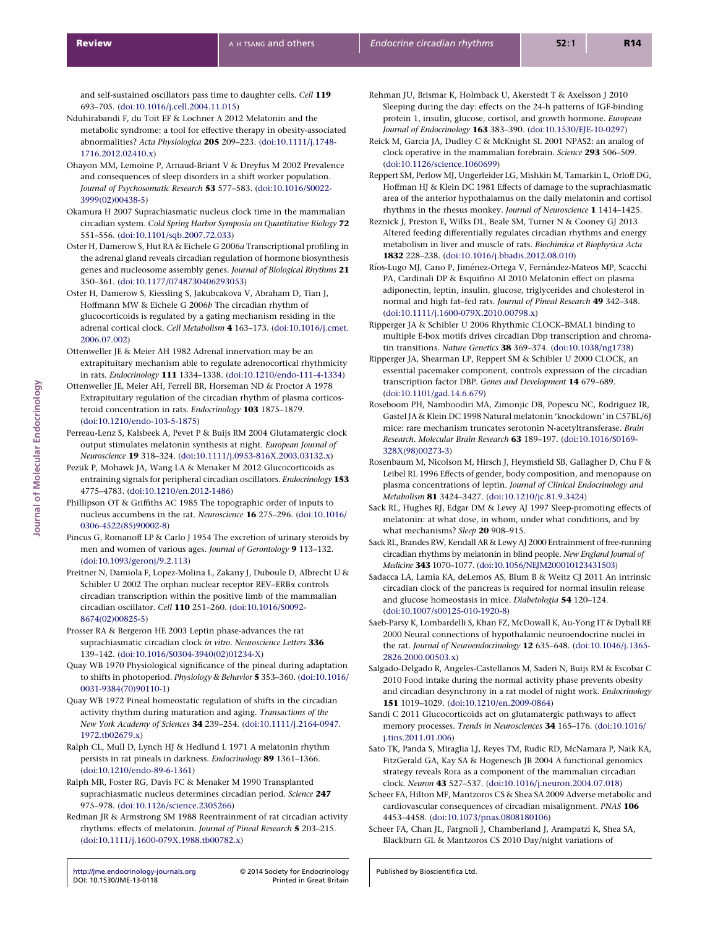<span id="page-13-0"></span>and self-sustained oscillators pass time to daughter cells. Cell 119 693–705. ([doi:10.1016/j.cell.2004.11.015\)](http://dx.doi.org/10.1016/j.cell.2004.11.015)

- Nduhirabandi F, du Toit EF & Lochner A 2012 Melatonin and the metabolic syndrome: a tool for effective therapy in obesity-associated abnormalities? Acta Physiologica 205 209–223. [\(doi:10.1111/j.1748-](http://dx.doi.org/10.1111/j.1748-1716.2012.02410.x) [1716.2012.02410.x\)](http://dx.doi.org/10.1111/j.1748-1716.2012.02410.x)
- Ohayon MM, Lemoine P, Arnaud-Briant V & Dreyfus M 2002 Prevalence and consequences of sleep disorders in a shift worker population. Journal of Psychosomatic Research 53 577–583. ([doi:10.1016/S0022-](http://dx.doi.org/10.1016/S0022-3999(02)00438-5) [3999\(02\)00438-5\)](http://dx.doi.org/10.1016/S0022-3999(02)00438-5)
- Okamura H 2007 Suprachiasmatic nucleus clock time in the mammalian circadian system. Cold Spring Harbor Symposia on Quantitative Biology 72 551–556. ([doi:10.1101/sqb.2007.72.033](http://dx.doi.org/10.1101/sqb.2007.72.033))
- Oster H, Damerow S, Hut RA & Eichele G 2006a Transcriptional profiling in the adrenal gland reveals circadian regulation of hormone biosynthesis genes and nucleosome assembly genes. Journal of Biological Rhythms 21 350–361. ([doi:10.1177/0748730406293053](http://jme.endocrinology-journals.org/))
- Oster H, Damerow S, Kiessling S, Jakubcakova V, Abraham D, Tian J, Hoffmann MW & Eichele G 2006b The circadian rhythm of glucocorticoids is regulated by a gating mechanism residing in the adrenal cortical clock. Cell Metabolism 4 163–173. ([doi:10.1016/j.cmet.](http://dx.doi.org/10.1016/j.cmet.2006.07.002) [2006.07.002\)](http://dx.doi.org/10.1016/j.cmet.2006.07.002)
- Ottenweller JE & Meier AH 1982 Adrenal innervation may be an extrapituitary mechanism able to regulate adrenocortical rhythmicity in rats. Endocrinology 111 1334–1338. [\(doi:10.1210/endo-111-4-1334\)](http://dx.doi.org/10.1210/endo-111-4-1334)
- Ottenweller JE, Meier AH, Ferrell BR, Horseman ND & Proctor A 1978 Extrapituitary regulation of the circadian rhythm of plasma corticosteroid concentration in rats. Endocrinology 103 1875-1879. [\(doi:10.1210/endo-103-5-1875\)](http://dx.doi.org/10.1210/endo-103-5-1875)
- Perreau-Lenz S, Kalsbeek A, Pevet P & Buijs RM 2004 Glutamatergic clock output stimulates melatonin synthesis at night. European Journal of Neuroscience 19 318–324. [\(doi:10.1111/j.0953-816X.2003.03132.x\)](http://dx.doi.org/10.1111/j.0953-816X.2003.03132.x)
- Pezük P, Mohawk JA, Wang LA & Menaker M 2012 Glucocorticoids as entraining signals for peripheral circadian oscillators. Endocrinology 153 4775–4783. ([doi:10.1210/en.2012-1486\)](http://dx.doi.org/10.1210/en.2012-1486)
- Phillipson OT & Griffiths AC 1985 The topographic order of inputs to nucleus accumbens in the rat. Neuroscience 16 275–296. ([doi:10.1016/](http://dx.doi.org/10.1016/0306-4522(85)90002-8) [0306-4522\(85\)90002-8](http://dx.doi.org/10.1016/0306-4522(85)90002-8))
- Pincus G, Romanoff LP & Carlo J 1954 The excretion of urinary steroids by men and women of various ages. Journal of Gerontology 9 113-132. [\(doi:10.1093/geronj/9.2.113](http://dx.doi.org/10.1093/geronj/9.2.113))
- Preitner N, Damiola F, Lopez-Molina L, Zakany J, Duboule D, Albrecht U & Schibler U 2002 The orphan nuclear receptor REV–ERBa controls circadian transcription within the positive limb of the mammalian circadian oscillator. Cell 110 251–260. [\(doi:10.1016/S0092-](http://dx.doi.org/10.1016/S0092-8674(02)00825-5) [8674\(02\)00825-5\)](http://dx.doi.org/10.1016/S0092-8674(02)00825-5)
- Prosser RA & Bergeron HE 2003 Leptin phase-advances the rat suprachiasmatic circadian clock in vitro. Neuroscience Letters 336 139–142. ([doi:10.1016/S0304-3940\(02\)01234-X\)](http://dx.doi.org/10.1016/S0304-3940(02)01234-X)
- Quay WB 1970 Physiological significance of the pineal during adaptation to shifts in photoperiod. Physiology & Behavior 5 353–360. [\(doi:10.1016/](http://dx.doi.org/10.1016/0031-9384(70)90110-1) [0031-9384\(70\)90110-1](http://dx.doi.org/10.1016/0031-9384(70)90110-1))
- Quay WB 1972 Pineal homeostatic regulation of shifts in the circadian activity rhythm during maturation and aging. Transactions of the New York Academy of Sciences 34 239–254. ([doi:10.1111/j.2164-0947.](http://dx.doi.org/10.1111/j.2164-0947.1972.tb02679.x) [1972.tb02679.x](http://dx.doi.org/10.1111/j.2164-0947.1972.tb02679.x))
- Ralph CL, Mull D, Lynch HJ & Hedlund L 1971 A melatonin rhythm persists in rat pineals in darkness. Endocrinology 89 1361-1366. [\(doi:10.1210/endo-89-6-1361\)](http://dx.doi.org/10.1210/endo-89-6-1361)
- Ralph MR, Foster RG, Davis FC & Menaker M 1990 Transplanted suprachiasmatic nucleus determines circadian period. Science 247 975–978. ([doi:10.1126/science.2305266\)](http://dx.doi.org/10.1126/science.2305266)
- Redman JR & Armstrong SM 1988 Reentrainment of rat circadian activity rhythms: effects of melatonin. Journal of Pineal Research 5 203–215. [\(doi:10.1111/j.1600-079X.1988.tb00782.x](http://dx.doi.org/10.1111/j.1600-079X.1988.tb00782.x))
- Rehman JU, Brismar K, Holmback U, Akerstedt T & Axelsson J 2010 Sleeping during the day: effects on the 24-h patterns of IGF-binding protein 1, insulin, glucose, cortisol, and growth hormone. European Journal of Endocrinology 163 383–390. [\(doi:10.1530/EJE-10-0297\)](http://dx.doi.org/10.1530/EJE-10-0297)
- Reick M, Garcia JA, Dudley C & McKnight SL 2001 NPAS2: an analog of clock operative in the mammalian forebrain. Science 293 506-509. [\(doi:10.1126/science.1060699\)](http://dx.doi.org/10.1126/science.1060699)
- Reppert SM, Perlow MJ, Ungerleider LG, Mishkin M, Tamarkin L, Orloff DG, Hoffman HJ & Klein DC 1981 Effects of damage to the suprachiasmatic area of the anterior hypothalamus on the daily melatonin and cortisol rhythms in the rhesus monkey. Journal of Neuroscience 1 1414–1425.
- Reznick J, Preston E, Wilks DL, Beale SM, Turner N & Cooney GJ 2013 Altered feeding differentially regulates circadian rhythms and energy metabolism in liver and muscle of rats. Biochimica et Biophysica Acta 1832 228–238. [\(doi:10.1016/j.bbadis.2012.08.010\)](http://dx.doi.org/10.1016/j.bbadis.2012.08.010)
- Ríos-Lugo MJ, Cano P, Jiménez-Ortega V, Fernández-Mateos MP, Scacchi PA, Cardinali DP & Esquifino AI 2010 Melatonin effect on plasma adiponectin, leptin, insulin, glucose, triglycerides and cholesterol in normal and high fat–fed rats. Journal of Pineal Research 49 342–348. [\(doi:10.1111/j.1600-079X.2010.00798.x](http://dx.doi.org/10.1111/j.1600-079X.2010.00798.x))
- Ripperger JA & Schibler U 2006 Rhythmic CLOCK–BMAL1 binding to multiple E-box motifs drives circadian Dbp transcription and chromatin transitions. Nature Genetics 38 369–374. [\(doi:10.1038/ng1738\)](http://dx.doi.org/10.1038/ng1738)
- Ripperger JA, Shearman LP, Reppert SM & Schibler U 2000 CLOCK, an essential pacemaker component, controls expression of the circadian transcription factor DBP. Genes and Development 14 679–689. [\(doi:10.1101/gad.14.6.679](http://dx.doi.org/10.1101/gad.14.6.679))
- Roseboom PH, Namboodiri MA, Zimonjic DB, Popescu NC, Rodriguez IR, Gastel JA & Klein DC 1998 Natural melatonin 'knockdown' in C57BL/6J mice: rare mechanism truncates serotonin N-acetyltransferase. Brain Research. Molecular Brain Research 63 189–197. ([doi:10.1016/S0169-](http://dx.doi.org/10.1016/S0169-328X(98)00273-3) [328X\(98\)00273-3](http://dx.doi.org/10.1016/S0169-328X(98)00273-3))
- Rosenbaum M, Nicolson M, Hirsch J, Heymsfield SB, Gallagher D, Chu F & Leibel RL 1996 Effects of gender, body composition, and menopause on plasma concentrations of leptin. Journal of Clinical Endocrinology and Metabolism 81 3424–3427. [\(doi:10.1210/jc.81.9.3424](http://dx.doi.org/10.1210/jc.81.9.3424))
- Sack RL, Hughes RJ, Edgar DM & Lewy AJ 1997 Sleep-promoting effects of melatonin: at what dose, in whom, under what conditions, and by what mechanisms? Sleep 20 908–915.
- Sack RL, Brandes RW, Kendall AR & Lewy AJ 2000 Entrainment of free-running circadian rhythms by melatonin in blind people. New England Journal of Medicine 343 1070–1077. ([doi:10.1056/NEJM200010123431503\)](http://dx.doi.org/10.1056/NEJM200010123431503)
- Sadacca LA, Lamia KA, deLemos AS, Blum B & Weitz CJ 2011 An intrinsic circadian clock of the pancreas is required for normal insulin release and glucose homeostasis in mice. Diabetologia 54 120–124. [\(doi:10.1007/s00125-010-1920-8](http://dx.doi.org/10.1007/s00125-010-1920-8))
- Saeb-Parsy K, Lombardelli S, Khan FZ, McDowall K, Au-Yong IT & Dyball RE 2000 Neural connections of hypothalamic neuroendocrine nuclei in the rat. Journal of Neuroendocrinology 12 635-648. ([doi:10.1046/j.1365-](http://dx.doi.org/10.1046/j.1365-2826.2000.00503.x) [2826.2000.00503.x\)](http://dx.doi.org/10.1046/j.1365-2826.2000.00503.x)
- Salgado-Delgado R, Angeles-Castellanos M, Saderi N, Buijs RM & Escobar C 2010 Food intake during the normal activity phase prevents obesity and circadian desynchrony in a rat model of night work. Endocrinology 151 1019–1029. ([doi:10.1210/en.2009-0864\)](http://dx.doi.org/10.1210/en.2009-0864)
- Sandi C 2011 Glucocorticoids act on glutamatergic pathways to affect memory processes. Trends in Neurosciences 34 165-176. ([doi:10.1016/](http://dx.doi.org/10.1016/j.tins.2011.01.006) [j.tins.2011.01.006](http://dx.doi.org/10.1016/j.tins.2011.01.006))
- Sato TK, Panda S, Miraglia LJ, Reyes TM, Rudic RD, McNamara P, Naik KA, FitzGerald GA, Kay SA & Hogenesch JB 2004 A functional genomics strategy reveals Rora as a component of the mammalian circadian clock. Neuron 43 527–537. ([doi:10.1016/j.neuron.2004.07.018](http://dx.doi.org/10.1016/j.neuron.2004.07.018))
- Scheer FA, Hilton MF, Mantzoros CS & Shea SA 2009 Adverse metabolic and cardiovascular consequences of circadian misalignment. PNAS 106 4453–4458. ([doi:10.1073/pnas.0808180106](http://dx.doi.org/10.1073/pnas.0808180106))
- Scheer FA, Chan JL, Fargnoli J, Chamberland J, Arampatzi K, Shea SA, Blackburn GL & Mantzoros CS 2010 Day/night variations of

Published by Bioscientifica Ltd.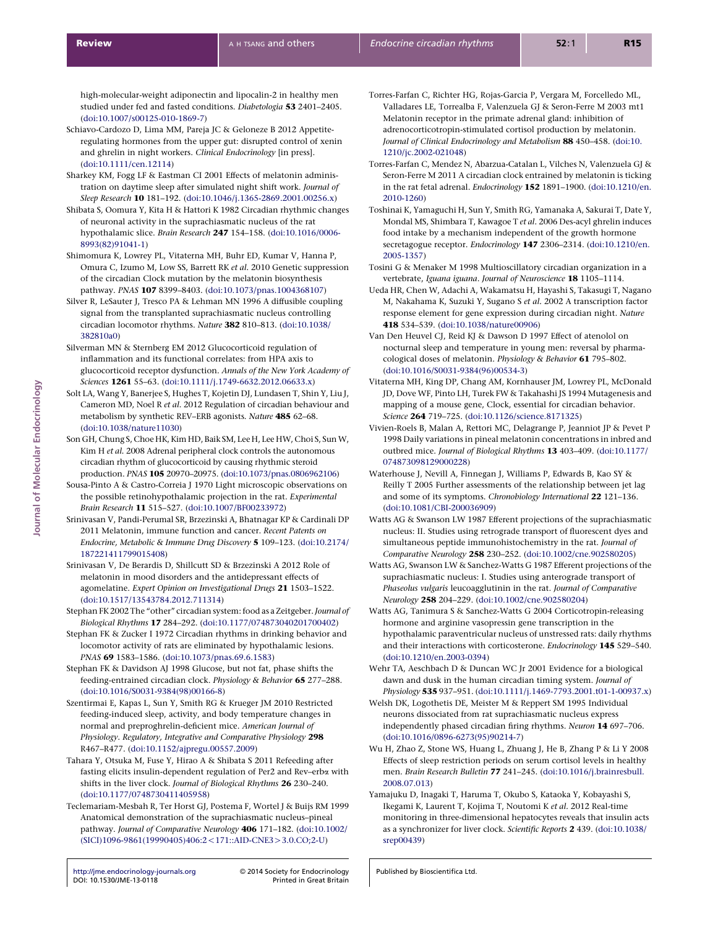Journal of Molecular Endocrinology

Journal of Molecular Endocrinology

<span id="page-14-0"></span>high-molecular-weight adiponectin and lipocalin-2 in healthy men studied under fed and fasted conditions. Diabetologia 53 2401–2405. [\(doi:10.1007/s00125-010-1869-7](http://dx.doi.org/10.1007/s00125-010-1869-7))

- Schiavo-Cardozo D, Lima MM, Pareja JC & Geloneze B 2012 Appetiteregulating hormones from the upper gut: disrupted control of xenin and ghrelin in night workers. Clinical Endocrinology [in press]. [\(doi:10.1111/cen.12114\)](http://dx.doi.org/10.1111/cen.12114)
- Sharkey KM, Fogg LF & Eastman CI 2001 Effects of melatonin administration on daytime sleep after simulated night shift work. Journal of Sleep Research 10 181–192. ([doi:10.1046/j.1365-2869.2001.00256.x](http://dx.doi.org/10.1046/j.1365-2869.2001.00256.x))
- Shibata S, Oomura Y, Kita H & Hattori K 1982 Circadian rhythmic changes of neuronal activity in the suprachiasmatic nucleus of the rat hypothalamic slice. Brain Research 247 154–158. ([doi:10.1016/0006-](http://dx.doi.org/10.1016/0006-8993(82)91041-1) [8993\(82\)91041-1\)](http://dx.doi.org/10.1016/0006-8993(82)91041-1)
- Shimomura K, Lowrey PL, Vitaterna MH, Buhr ED, Kumar V, Hanna P, Omura C, Izumo M, Low SS, Barrett RK et al. 2010 Genetic suppression of the circadian Clock mutation by the melatonin biosynthesis pathway. PNAS 107 8399–8403. ([doi:10.1073/pnas.1004368107](http://dx.doi.org/10.1073/pnas.1004368107))
- Silver R, LeSauter J, Tresco PA & Lehman MN 1996 A diffusible coupling signal from the transplanted suprachiasmatic nucleus controlling circadian locomotor rhythms. Nature 382 810–813. ([doi:10.1038/](http://dx.doi.org/10.1038/382810a0) [382810a0](http://dx.doi.org/10.1038/382810a0))
- Silverman MN & Sternberg EM 2012 Glucocorticoid regulation of inflammation and its functional correlates: from HPA axis to glucocorticoid receptor dysfunction. Annals of the New York Academy of Sciences 1261 55–63. [\(doi:10.1111/j.1749-6632.2012.06633.x](http://dx.doi.org/10.1111/j.1749-6632.2012.06633.x))
- Solt LA, Wang Y, Banerjee S, Hughes T, Kojetin DJ, Lundasen T, Shin Y, Liu J, Cameron MD, Noel R et al. 2012 Regulation of circadian behaviour and metabolism by synthetic REV–ERB agonists. Nature 485 62–68. [\(doi:10.1038/nature11030\)](http://dx.doi.org/10.1038/nature11030)
- Son GH, Chung S, Choe HK, Kim HD, Baik SM, Lee H, Lee HW, Choi S, Sun W, Kim H et al. 2008 Adrenal peripheral clock controls the autonomous circadian rhythm of glucocorticoid by causing rhythmic steroid production. PNAS 105 20970–20975. ([doi:10.1073/pnas.0806962106](http://dx.doi.org/10.1073/pnas.0806962106))
- Sousa-Pinto A & Castro-Correia J 1970 Light microscopic observations on the possible retinohypothalamic projection in the rat. Experimental Brain Research 11 515–527. ([doi:10.1007/BF00233972\)](http://dx.doi.org/10.1007/BF00233972)
- Srinivasan V, Pandi-Perumal SR, Brzezinski A, Bhatnagar KP & Cardinali DP 2011 Melatonin, immune function and cancer. Recent Patents on Endocrine, Metabolic & Immune Drug Discovery 5 109–123. [\(doi:10.2174/](http://dx.doi.org/10.2174/187221411799015408) [187221411799015408\)](http://dx.doi.org/10.2174/187221411799015408)
- Srinivasan V, De Berardis D, Shillcutt SD & Brzezinski A 2012 Role of melatonin in mood disorders and the antidepressant effects of agomelatine. Expert Opinion on Investigational Drugs 21 1503–1522. [\(doi:10.1517/13543784.2012.711314\)](http://dx.doi.org/10.1517/13543784.2012.711314)
- Stephan FK 2002 The "other" circadian system: food as a Zeitgeber. Journal of Biological Rhythms 17 284–292. [\(doi:10.1177/074873040201700402](http://dx.doi.org/10.1177/074873040201700402))
- Stephan FK & Zucker I 1972 Circadian rhythms in drinking behavior and locomotor activity of rats are eliminated by hypothalamic lesions. PNAS 69 1583–1586. [\(doi:10.1073/pnas.69.6.1583\)](http://dx.doi.org/10.1073/pnas.69.6.1583)
- Stephan FK & Davidson AJ 1998 Glucose, but not fat, phase shifts the feeding-entrained circadian clock. Physiology & Behavior 65 277–288. [\(doi:10.1016/S0031-9384\(98\)00166-8\)](http://dx.doi.org/10.1016/S0031-9384(98)00166-8)
- Szentirmai E, Kapas L, Sun Y, Smith RG & Krueger JM 2010 Restricted feeding-induced sleep, activity, and body temperature changes in normal and preproghrelin-deficient mice. American Journal of Physiology. Regulatory, Integrative and Comparative Physiology 298 R467–R477. ([doi:10.1152/ajpregu.00557.2009](http://dx.doi.org/10.1152/ajpregu.00557.2009))
- Tahara Y, Otsuka M, Fuse Y, Hirao A & Shibata S 2011 Refeeding after fasting elicits insulin-dependent regulation of Per2 and Rev–erba with shifts in the liver clock. Journal of Biological Rhythms 26 230–240. [\(doi:10.1177/0748730411405958](http://dx.doi.org/10.1177/0748730411405958))
- Teclemariam-Mesbah R, Ter Horst GJ, Postema F, Wortel J & Buijs RM 1999 Anatomical demonstration of the suprachiasmatic nucleus–pineal pathway. Journal of Comparative Neurology 406 171-182. [\(doi:10.1002/](http://dx.doi.org/10.1002/(SICI)1096-9861(19990405)406:2%3c171::AID-CNE3%3e3.0.CO;2-U)  $(SICI)1096-9861(19990405)406:2 < 171::AID-CNE3 > 3.0.CO;2-U)$  $(SICI)1096-9861(19990405)406:2 < 171::AID-CNE3 > 3.0.CO;2-U)$
- Torres-Farfan C, Richter HG, Rojas-Garcia P, Vergara M, Forcelledo ML, Valladares LE, Torrealba F, Valenzuela GJ & Seron-Ferre M 2003 mt1 Melatonin receptor in the primate adrenal gland: inhibition of adrenocorticotropin-stimulated cortisol production by melatonin. Journal of Clinical Endocrinology and Metabolism 88 450-458. ([doi:10.](http://dx.doi.org/10.1210/jc.2002-021048) [1210/jc.2002-021048](http://dx.doi.org/10.1210/jc.2002-021048))
- Torres-Farfan C, Mendez N, Abarzua-Catalan L, Vilches N, Valenzuela GJ & Seron-Ferre M 2011 A circadian clock entrained by melatonin is ticking in the rat fetal adrenal. Endocrinology 152 1891-1900. [\(doi:10.1210/en.](http://dx.doi.org/10.1210/en.2010-1260) [2010-1260\)](http://dx.doi.org/10.1210/en.2010-1260)
- Toshinai K, Yamaguchi H, Sun Y, Smith RG, Yamanaka A, Sakurai T, Date Y, Mondal MS, Shimbara T, Kawagoe T et al. 2006 Des-acyl ghrelin induces food intake by a mechanism independent of the growth hormone secretagogue receptor. Endocrinology 147 2306-2314. ([doi:10.1210/en.](http://dx.doi.org/10.1210/en.2005-1357) [2005-1357\)](http://dx.doi.org/10.1210/en.2005-1357)
- Tosini G & Menaker M 1998 Multioscillatory circadian organization in a vertebrate, Iguana iguana. Journal of Neuroscience 18 1105-1114.
- Ueda HR, Chen W, Adachi A, Wakamatsu H, Hayashi S, Takasugi T, Nagano M, Nakahama K, Suzuki Y, Sugano S et al. 2002 A transcription factor response element for gene expression during circadian night. Nature 418 534–539. ([doi:10.1038/nature00906](http://dx.doi.org/10.1038/nature00906))
- Van Den Heuvel CJ, Reid KJ & Dawson D 1997 Effect of atenolol on nocturnal sleep and temperature in young men: reversal by pharmacological doses of melatonin. Physiology & Behavior 61 795–802. [\(doi:10.1016/S0031-9384\(96\)00534-3\)](http://dx.doi.org/10.1016/S0031-9384(96)00534-3)
- Vitaterna MH, King DP, Chang AM, Kornhauser JM, Lowrey PL, McDonald JD, Dove WF, Pinto LH, Turek FW & Takahashi JS 1994 Mutagenesis and mapping of a mouse gene, Clock, essential for circadian behavior. Science 264 719–725. [\(doi:10.1126/science.8171325\)](http://dx.doi.org/10.1126/science.8171325)
- Vivien-Roels B, Malan A, Rettori MC, Delagrange P, Jeanniot JP & Pevet P 1998 Daily variations in pineal melatonin concentrations in inbred and outbred mice. Journal of Biological Rhythms 13 403–409. [\(doi:10.1177/](http://dx.doi.org/10.1177/074873098129000228) [074873098129000228\)](http://dx.doi.org/10.1177/074873098129000228)
- Waterhouse J, Nevill A, Finnegan J, Williams P, Edwards B, Kao SY & Reilly T 2005 Further assessments of the relationship between jet lag and some of its symptoms. Chronobiology International 22 121-136. [\(doi:10.1081/CBI-200036909\)](http://dx.doi.org/10.1081/CBI-200036909)
- Watts AG & Swanson LW 1987 Efferent projections of the suprachiasmatic nucleus: II. Studies using retrograde transport of fluorescent dyes and simultaneous peptide immunohistochemistry in the rat. Journal of Comparative Neurology 258 230–252. [\(doi:10.1002/cne.902580205\)](http://dx.doi.org/10.1002/cne.902580205)
- Watts AG, Swanson LW & Sanchez-Watts G 1987 Efferent projections of the suprachiasmatic nucleus: I. Studies using anterograde transport of Phaseolus vulgaris leucoagglutinin in the rat. Journal of Comparative Neurology 258 204–229. [\(doi:10.1002/cne.902580204](http://dx.doi.org/10.1002/cne.902580204))
- Watts AG, Tanimura S & Sanchez-Watts G 2004 Corticotropin-releasing hormone and arginine vasopressin gene transcription in the hypothalamic paraventricular nucleus of unstressed rats: daily rhythms and their interactions with corticosterone. Endocrinology 145 529-540. [\(doi:10.1210/en.2003-0394\)](http://dx.doi.org/10.1210/en.2003-0394)
- Wehr TA, Aeschbach D & Duncan WC Jr 2001 Evidence for a biological dawn and dusk in the human circadian timing system. Journal of Physiology 535 937–951. ([doi:10.1111/j.1469-7793.2001.t01-1-00937.x](http://dx.doi.org/10.1111/j.1469-7793.2001.t01-1-00937.x))
- Welsh DK, Logothetis DE, Meister M & Reppert SM 1995 Individual neurons dissociated from rat suprachiasmatic nucleus express independently phased circadian firing rhythms. Neuron 14 697–706. [\(doi:10.1016/0896-6273\(95\)90214-7](http://dx.doi.org/10.1016/0896-6273(95)90214-7))
- Wu H, Zhao Z, Stone WS, Huang L, Zhuang J, He B, Zhang P & Li Y 2008 Effects of sleep restriction periods on serum cortisol levels in healthy men. Brain Research Bulletin 77 241–245. [\(doi:10.1016/j.brainresbull.](http://dx.doi.org/10.1016/j.brainresbull.2008.07.013) [2008.07.013\)](http://dx.doi.org/10.1016/j.brainresbull.2008.07.013)
- Yamajuku D, Inagaki T, Haruma T, Okubo S, Kataoka Y, Kobayashi S, Ikegami K, Laurent T, Kojima T, Noutomi K et al. 2012 Real-time monitoring in three-dimensional hepatocytes reveals that insulin acts as a synchronizer for liver clock. Scientific Reports 2 439. [\(doi:10.1038/](http://dx.doi.org/10.1038/srep00439) [srep00439\)](http://dx.doi.org/10.1038/srep00439)